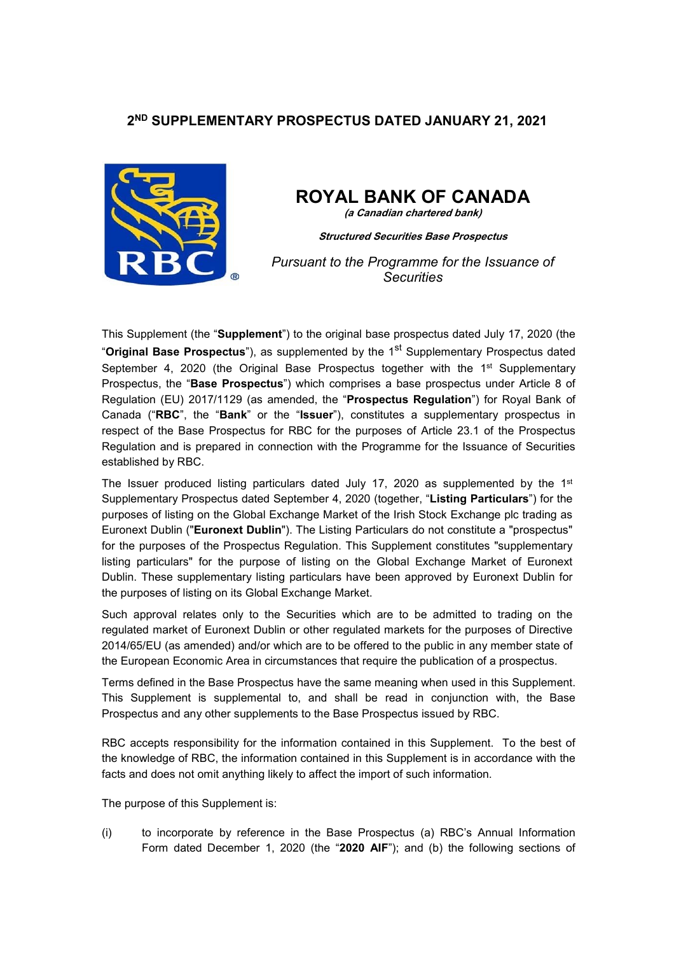# **2ND SUPPLEMENTARY PROSPECTUS DATED JANUARY 21, 2021**



# **ROYAL BANK OF CANADA**

**(a Canadian chartered bank)**

**Structured Securities Base Prospectus**

*Pursuant to the Programme for the Issuance of Securities* 

This Supplement (the "**Supplement**") to the original base prospectus dated July 17, 2020 (the "**Original Base Prospectus**"), as supplemented by the 1<sup>st</sup> Supplementary Prospectus dated September 4, 2020 (the Original Base Prospectus together with the 1<sup>st</sup> Supplementary Prospectus, the "**Base Prospectus**") which comprises a base prospectus under Article 8 of Regulation (EU) 2017/1129 (as amended, the "**Prospectus Regulation**") for Royal Bank of Canada ("**RBC**", the "**Bank**" or the "**Issuer**"), constitutes a supplementary prospectus in respect of the Base Prospectus for RBC for the purposes of Article 23.1 of the Prospectus Regulation and is prepared in connection with the Programme for the Issuance of Securities established by RBC.

The Issuer produced listing particulars dated July 17, 2020 as supplemented by the  $1<sup>st</sup>$ Supplementary Prospectus dated September 4, 2020 (together, "**Listing Particulars**") for the purposes of listing on the Global Exchange Market of the Irish Stock Exchange plc trading as Euronext Dublin ("**Euronext Dublin**"). The Listing Particulars do not constitute a "prospectus" for the purposes of the Prospectus Regulation. This Supplement constitutes "supplementary listing particulars" for the purpose of listing on the Global Exchange Market of Euronext Dublin. These supplementary listing particulars have been approved by Euronext Dublin for the purposes of listing on its Global Exchange Market.

Such approval relates only to the Securities which are to be admitted to trading on the regulated market of Euronext Dublin or other regulated markets for the purposes of Directive 2014/65/EU (as amended) and/or which are to be offered to the public in any member state of the European Economic Area in circumstances that require the publication of a prospectus.

Terms defined in the Base Prospectus have the same meaning when used in this Supplement. This Supplement is supplemental to, and shall be read in conjunction with, the Base Prospectus and any other supplements to the Base Prospectus issued by RBC.

RBC accepts responsibility for the information contained in this Supplement. To the best of the knowledge of RBC, the information contained in this Supplement is in accordance with the facts and does not omit anything likely to affect the import of such information.

The purpose of this Supplement is:

(i) to incorporate by reference in the Base Prospectus (a) RBC's Annual Information Form dated December 1, 2020 (the "**2020 AIF**"); and (b) the following sections of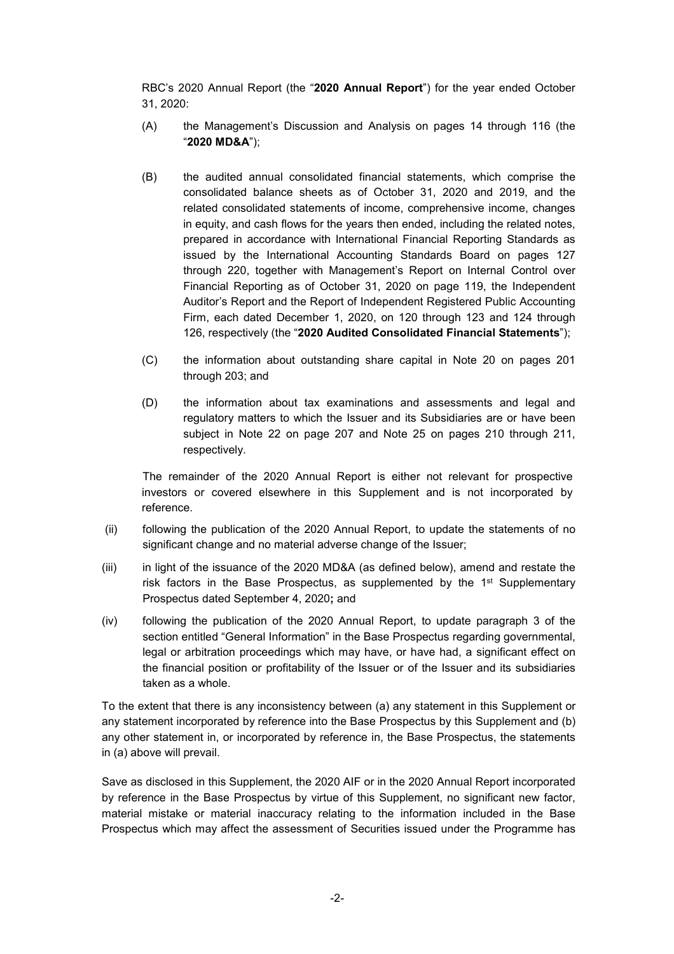RBC's 2020 Annual Report (the "**2020 Annual Report**") for the year ended October 31, 2020:

- (A) the Management's Discussion and Analysis on pages 14 through 116 (the "**2020 MD&A**");
- (B) the audited annual consolidated financial statements, which comprise the consolidated balance sheets as of October 31, 2020 and 2019, and the related consolidated statements of income, comprehensive income, changes in equity, and cash flows for the years then ended, including the related notes, prepared in accordance with International Financial Reporting Standards as issued by the International Accounting Standards Board on pages 127 through 220, together with Management's Report on Internal Control over Financial Reporting as of October 31, 2020 on page 119, the Independent Auditor's Report and the Report of Independent Registered Public Accounting Firm, each dated December 1, 2020, on 120 through 123 and 124 through 126, respectively (the "**2020 Audited Consolidated Financial Statements**");
- (C) the information about outstanding share capital in Note 20 on pages 201 through 203; and
- (D) the information about tax examinations and assessments and legal and regulatory matters to which the Issuer and its Subsidiaries are or have been subject in Note 22 on page 207 and Note 25 on pages 210 through 211, respectively.

 The remainder of the 2020 Annual Report is either not relevant for prospective investors or covered elsewhere in this Supplement and is not incorporated by reference.

- (ii) following the publication of the 2020 Annual Report, to update the statements of no significant change and no material adverse change of the Issuer;
- (iii) in light of the issuance of the 2020 MD&A (as defined below), amend and restate the risk factors in the Base Prospectus, as supplemented by the  $1<sup>st</sup>$  Supplementary Prospectus dated September 4, 2020**;** and
- (iv) following the publication of the 2020 Annual Report, to update paragraph 3 of the section entitled "General Information" in the Base Prospectus regarding governmental, legal or arbitration proceedings which may have, or have had, a significant effect on the financial position or profitability of the Issuer or of the Issuer and its subsidiaries taken as a whole.

To the extent that there is any inconsistency between (a) any statement in this Supplement or any statement incorporated by reference into the Base Prospectus by this Supplement and (b) any other statement in, or incorporated by reference in, the Base Prospectus, the statements in (a) above will prevail.

Save as disclosed in this Supplement, the 2020 AIF or in the 2020 Annual Report incorporated by reference in the Base Prospectus by virtue of this Supplement, no significant new factor, material mistake or material inaccuracy relating to the information included in the Base Prospectus which may affect the assessment of Securities issued under the Programme has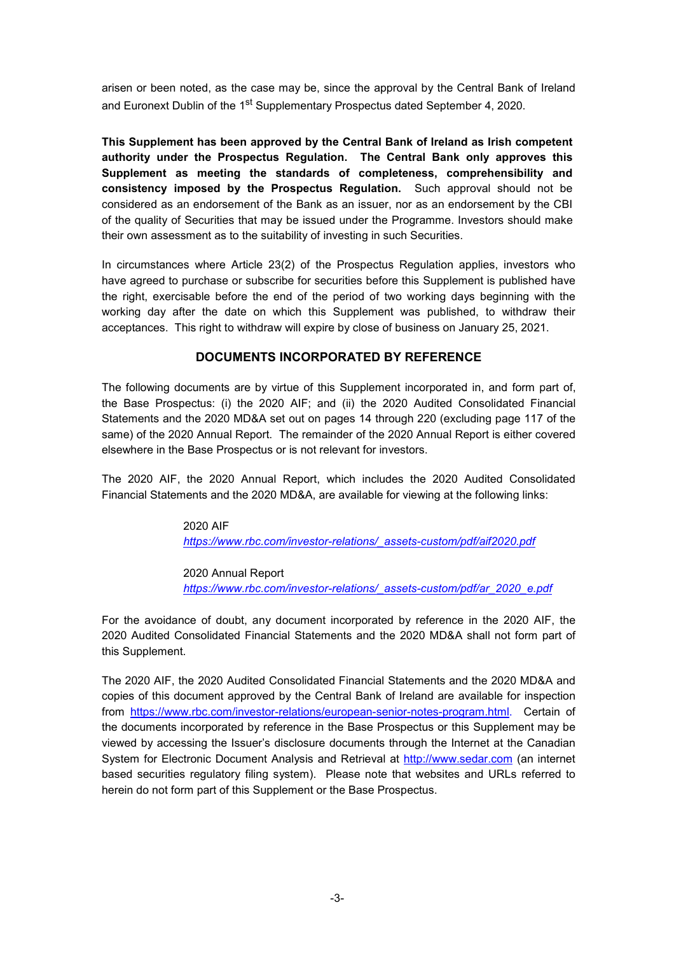arisen or been noted, as the case may be, since the approval by the Central Bank of Ireland and Euronext Dublin of the 1<sup>st</sup> Supplementary Prospectus dated September 4, 2020.

**This Supplement has been approved by the Central Bank of Ireland as Irish competent authority under the Prospectus Regulation. The Central Bank only approves this Supplement as meeting the standards of completeness, comprehensibility and consistency imposed by the Prospectus Regulation.** Such approval should not be considered as an endorsement of the Bank as an issuer, nor as an endorsement by the CBI of the quality of Securities that may be issued under the Programme. Investors should make their own assessment as to the suitability of investing in such Securities.

In circumstances where Article 23(2) of the Prospectus Regulation applies, investors who have agreed to purchase or subscribe for securities before this Supplement is published have the right, exercisable before the end of the period of two working days beginning with the working day after the date on which this Supplement was published, to withdraw their acceptances. This right to withdraw will expire by close of business on January 25, 2021.

#### **DOCUMENTS INCORPORATED BY REFERENCE**

The following documents are by virtue of this Supplement incorporated in, and form part of, the Base Prospectus: (i) the 2020 AIF; and (ii) the 2020 Audited Consolidated Financial Statements and the 2020 MD&A set out on pages 14 through 220 (excluding page 117 of the same) of the 2020 Annual Report. The remainder of the 2020 Annual Report is either covered elsewhere in the Base Prospectus or is not relevant for investors.

The 2020 AIF, the 2020 Annual Report, which includes the 2020 Audited Consolidated Financial Statements and the 2020 MD&A, are available for viewing at the following links:

> 2020 AIF  *https://www.rbc.com/investor-relations/\_assets-custom/pdf/aif2020.pdf*

#### 2020 Annual Report

 *https://www.rbc.com/investor-relations/\_assets-custom/pdf/ar\_2020\_e.pdf* 

For the avoidance of doubt, any document incorporated by reference in the 2020 AIF, the 2020 Audited Consolidated Financial Statements and the 2020 MD&A shall not form part of this Supplement.

The 2020 AIF, the 2020 Audited Consolidated Financial Statements and the 2020 MD&A and copies of this document approved by the Central Bank of Ireland are available for inspection from https://www.rbc.com/investor-relations/european-senior-notes-program.html. Certain of the documents incorporated by reference in the Base Prospectus or this Supplement may be viewed by accessing the Issuer's disclosure documents through the Internet at the Canadian System for Electronic Document Analysis and Retrieval at http://www.sedar.com (an internet based securities regulatory filing system). Please note that websites and URLs referred to herein do not form part of this Supplement or the Base Prospectus.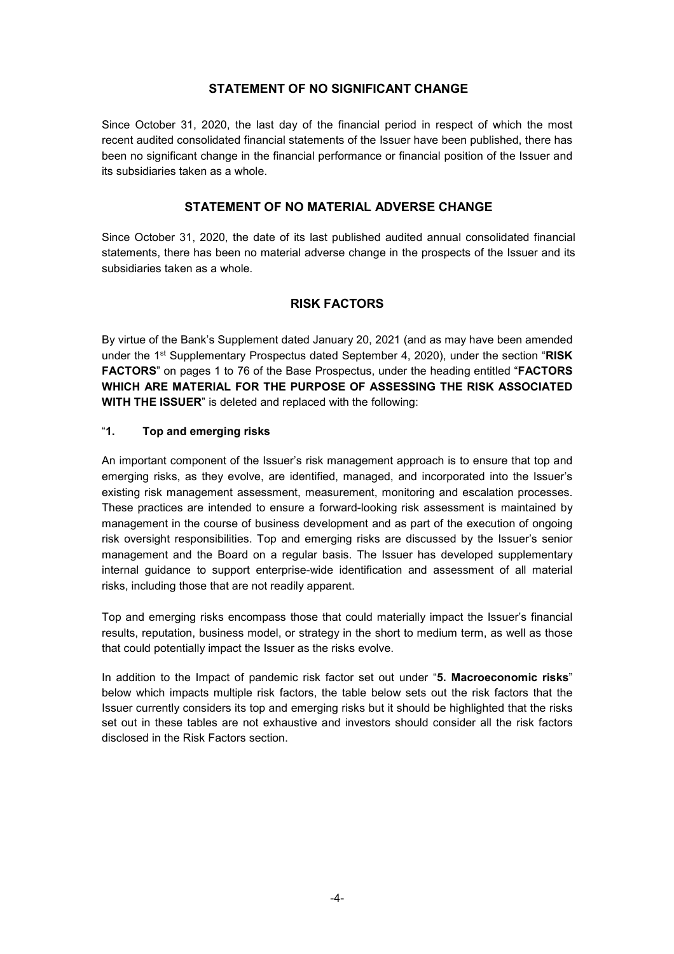## **STATEMENT OF NO SIGNIFICANT CHANGE**

Since October 31, 2020, the last day of the financial period in respect of which the most recent audited consolidated financial statements of the Issuer have been published, there has been no significant change in the financial performance or financial position of the Issuer and its subsidiaries taken as a whole.

## **STATEMENT OF NO MATERIAL ADVERSE CHANGE**

Since October 31, 2020, the date of its last published audited annual consolidated financial statements, there has been no material adverse change in the prospects of the Issuer and its subsidiaries taken as a whole.

## **RISK FACTORS**

By virtue of the Bank's Supplement dated January 20, 2021 (and as may have been amended under the 1st Supplementary Prospectus dated September 4, 2020), under the section "**RISK FACTORS**" on pages 1 to 76 of the Base Prospectus, under the heading entitled "**FACTORS WHICH ARE MATERIAL FOR THE PURPOSE OF ASSESSING THE RISK ASSOCIATED WITH THE ISSUER**" is deleted and replaced with the following:

#### "**1. Top and emerging risks**

An important component of the Issuer's risk management approach is to ensure that top and emerging risks, as they evolve, are identified, managed, and incorporated into the Issuer's existing risk management assessment, measurement, monitoring and escalation processes. These practices are intended to ensure a forward-looking risk assessment is maintained by management in the course of business development and as part of the execution of ongoing risk oversight responsibilities. Top and emerging risks are discussed by the Issuer's senior management and the Board on a regular basis. The Issuer has developed supplementary internal guidance to support enterprise-wide identification and assessment of all material risks, including those that are not readily apparent.

Top and emerging risks encompass those that could materially impact the Issuer's financial results, reputation, business model, or strategy in the short to medium term, as well as those that could potentially impact the Issuer as the risks evolve.

In addition to the Impact of pandemic risk factor set out under "**5. Macroeconomic risks**" below which impacts multiple risk factors, the table below sets out the risk factors that the Issuer currently considers its top and emerging risks but it should be highlighted that the risks set out in these tables are not exhaustive and investors should consider all the risk factors disclosed in the Risk Factors section.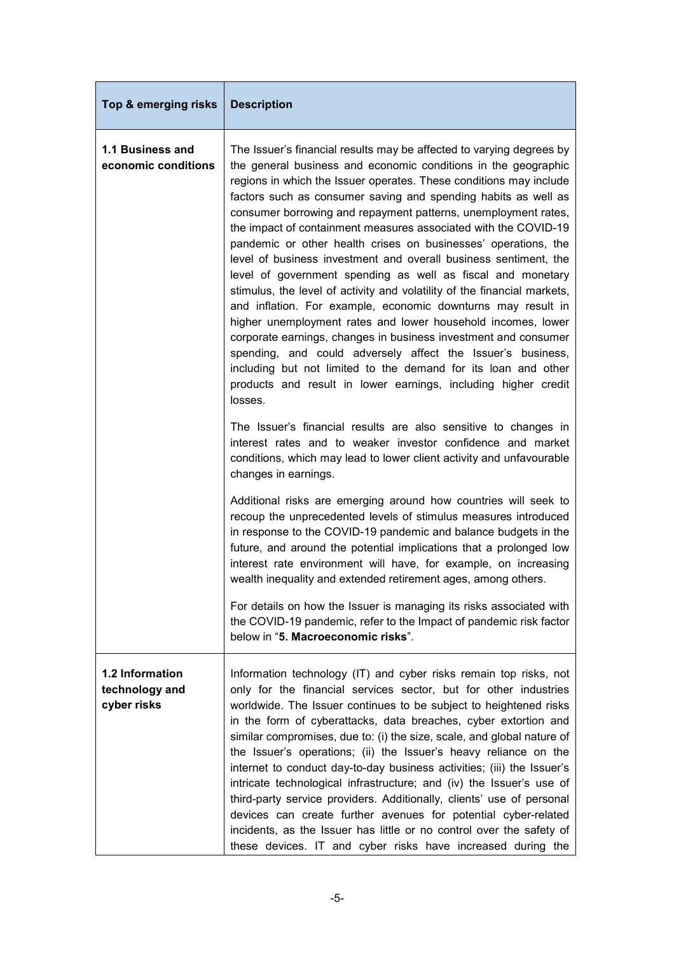| Top & emerging risks                             | <b>Description</b>                                                                                                                                                                                                                                                                                                                                                                                                                                                                                                                                                                                                                                                                                                                                                                                                                                                                                                                                                                                                                                                                                                                                                                                                                                                                                                                                      |
|--------------------------------------------------|---------------------------------------------------------------------------------------------------------------------------------------------------------------------------------------------------------------------------------------------------------------------------------------------------------------------------------------------------------------------------------------------------------------------------------------------------------------------------------------------------------------------------------------------------------------------------------------------------------------------------------------------------------------------------------------------------------------------------------------------------------------------------------------------------------------------------------------------------------------------------------------------------------------------------------------------------------------------------------------------------------------------------------------------------------------------------------------------------------------------------------------------------------------------------------------------------------------------------------------------------------------------------------------------------------------------------------------------------------|
| 1.1 Business and<br>economic conditions          | The Issuer's financial results may be affected to varying degrees by<br>the general business and economic conditions in the geographic<br>regions in which the Issuer operates. These conditions may include<br>factors such as consumer saving and spending habits as well as<br>consumer borrowing and repayment patterns, unemployment rates,<br>the impact of containment measures associated with the COVID-19<br>pandemic or other health crises on businesses' operations, the<br>level of business investment and overall business sentiment, the<br>level of government spending as well as fiscal and monetary<br>stimulus, the level of activity and volatility of the financial markets,<br>and inflation. For example, economic downturns may result in<br>higher unemployment rates and lower household incomes, lower<br>corporate earnings, changes in business investment and consumer<br>spending, and could adversely affect the Issuer's business,<br>including but not limited to the demand for its loan and other<br>products and result in lower earnings, including higher credit<br>losses.<br>The Issuer's financial results are also sensitive to changes in<br>interest rates and to weaker investor confidence and market<br>conditions, which may lead to lower client activity and unfavourable<br>changes in earnings. |
|                                                  | Additional risks are emerging around how countries will seek to<br>recoup the unprecedented levels of stimulus measures introduced<br>in response to the COVID-19 pandemic and balance budgets in the<br>future, and around the potential implications that a prolonged low<br>interest rate environment will have, for example, on increasing<br>wealth inequality and extended retirement ages, among others.<br>For details on how the Issuer is managing its risks associated with<br>the COVID-19 pandemic, refer to the Impact of pandemic risk factor<br>below in "5. Macroeconomic risks".                                                                                                                                                                                                                                                                                                                                                                                                                                                                                                                                                                                                                                                                                                                                                      |
| 1.2 Information<br>technology and<br>cyber risks | Information technology (IT) and cyber risks remain top risks, not<br>only for the financial services sector, but for other industries<br>worldwide. The Issuer continues to be subject to heightened risks<br>in the form of cyberattacks, data breaches, cyber extortion and<br>similar compromises, due to: (i) the size, scale, and global nature of<br>the Issuer's operations; (ii) the Issuer's heavy reliance on the<br>internet to conduct day-to-day business activities; (iii) the Issuer's<br>intricate technological infrastructure; and (iv) the Issuer's use of<br>third-party service providers. Additionally, clients' use of personal<br>devices can create further avenues for potential cyber-related<br>incidents, as the Issuer has little or no control over the safety of<br>these devices. IT and cyber risks have increased during the                                                                                                                                                                                                                                                                                                                                                                                                                                                                                         |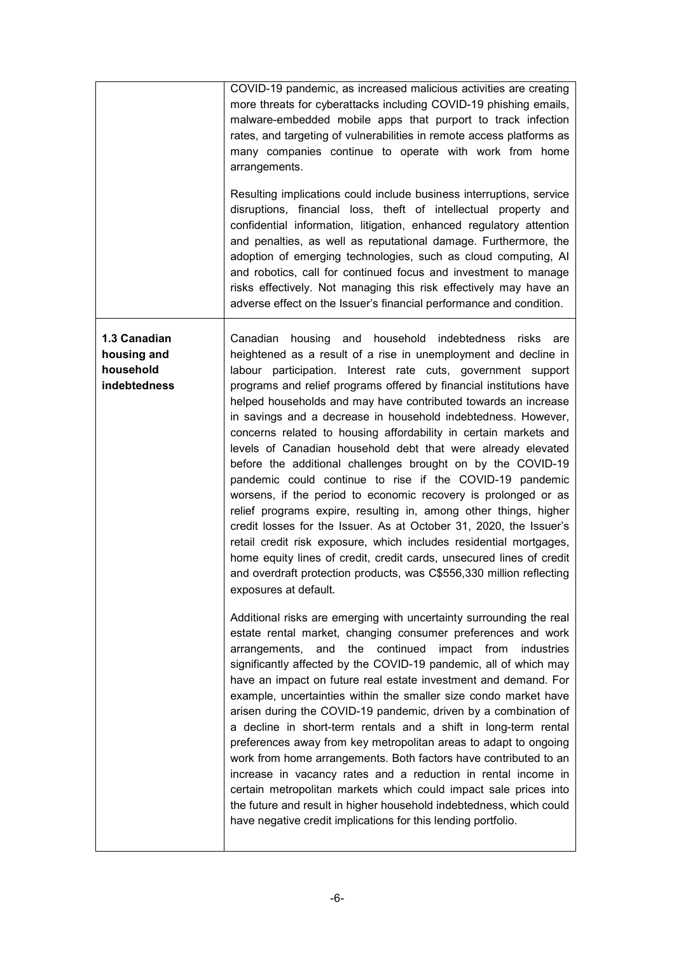|                                                          | COVID-19 pandemic, as increased malicious activities are creating<br>more threats for cyberattacks including COVID-19 phishing emails,<br>malware-embedded mobile apps that purport to track infection<br>rates, and targeting of vulnerabilities in remote access platforms as<br>many companies continue to operate with work from home<br>arrangements.<br>Resulting implications could include business interruptions, service<br>disruptions, financial loss, theft of intellectual property and<br>confidential information, litigation, enhanced regulatory attention<br>and penalties, as well as reputational damage. Furthermore, the<br>adoption of emerging technologies, such as cloud computing, AI<br>and robotics, call for continued focus and investment to manage<br>risks effectively. Not managing this risk effectively may have an<br>adverse effect on the Issuer's financial performance and condition.                                                                                                                                                                                                                                                                                                                                                                                                                                                                                                                                                                                                                                                                                                                                                                                                                                                                                                                                                                                                                                                                                                                                                                                                |
|----------------------------------------------------------|---------------------------------------------------------------------------------------------------------------------------------------------------------------------------------------------------------------------------------------------------------------------------------------------------------------------------------------------------------------------------------------------------------------------------------------------------------------------------------------------------------------------------------------------------------------------------------------------------------------------------------------------------------------------------------------------------------------------------------------------------------------------------------------------------------------------------------------------------------------------------------------------------------------------------------------------------------------------------------------------------------------------------------------------------------------------------------------------------------------------------------------------------------------------------------------------------------------------------------------------------------------------------------------------------------------------------------------------------------------------------------------------------------------------------------------------------------------------------------------------------------------------------------------------------------------------------------------------------------------------------------------------------------------------------------------------------------------------------------------------------------------------------------------------------------------------------------------------------------------------------------------------------------------------------------------------------------------------------------------------------------------------------------------------------------------------------------------------------------------------------------|
| 1.3 Canadian<br>housing and<br>household<br>indebtedness | Canadian<br>household<br>housing<br>and<br>indebtedness<br>risks<br>are<br>heightened as a result of a rise in unemployment and decline in<br>labour participation. Interest rate cuts, government support<br>programs and relief programs offered by financial institutions have<br>helped households and may have contributed towards an increase<br>in savings and a decrease in household indebtedness. However,<br>concerns related to housing affordability in certain markets and<br>levels of Canadian household debt that were already elevated<br>before the additional challenges brought on by the COVID-19<br>pandemic could continue to rise if the COVID-19 pandemic<br>worsens, if the period to economic recovery is prolonged or as<br>relief programs expire, resulting in, among other things, higher<br>credit losses for the Issuer. As at October 31, 2020, the Issuer's<br>retail credit risk exposure, which includes residential mortgages,<br>home equity lines of credit, credit cards, unsecured lines of credit<br>and overdraft protection products, was C\$556,330 million reflecting<br>exposures at default.<br>Additional risks are emerging with uncertainty surrounding the real<br>estate rental market, changing consumer preferences and work<br>and the continued<br>arrangements,<br>impact from<br>industries<br>significantly affected by the COVID-19 pandemic, all of which may<br>have an impact on future real estate investment and demand. For<br>example, uncertainties within the smaller size condo market have<br>arisen during the COVID-19 pandemic, driven by a combination of<br>a decline in short-term rentals and a shift in long-term rental<br>preferences away from key metropolitan areas to adapt to ongoing<br>work from home arrangements. Both factors have contributed to an<br>increase in vacancy rates and a reduction in rental income in<br>certain metropolitan markets which could impact sale prices into<br>the future and result in higher household indebtedness, which could<br>have negative credit implications for this lending portfolio. |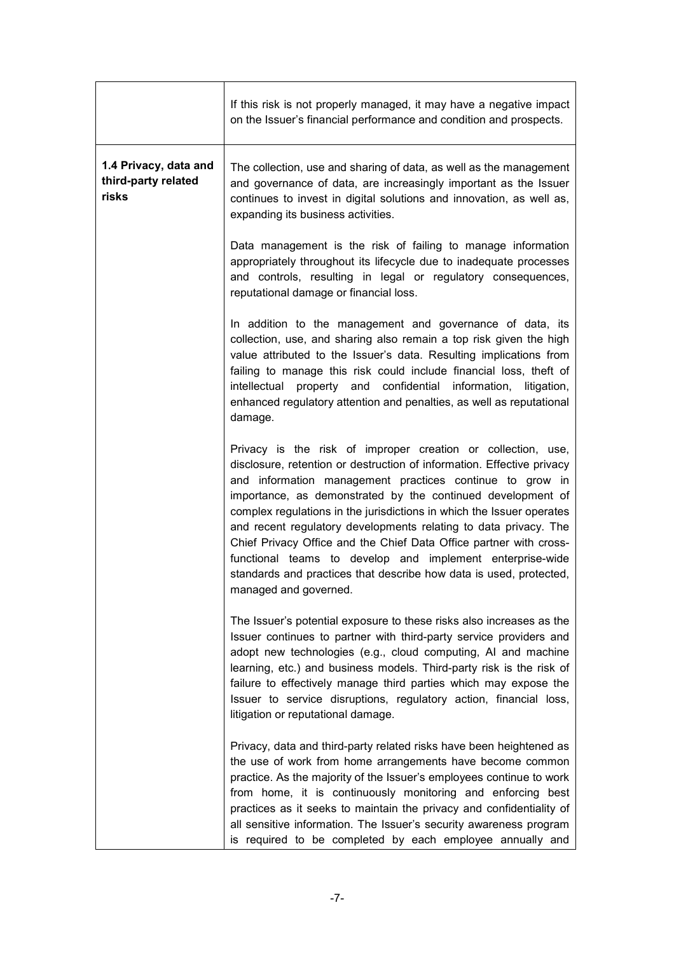|                                                       | If this risk is not properly managed, it may have a negative impact<br>on the Issuer's financial performance and condition and prospects.                                                                                                                                                                                                                                                                                                                                                                                                                                                                                                        |
|-------------------------------------------------------|--------------------------------------------------------------------------------------------------------------------------------------------------------------------------------------------------------------------------------------------------------------------------------------------------------------------------------------------------------------------------------------------------------------------------------------------------------------------------------------------------------------------------------------------------------------------------------------------------------------------------------------------------|
| 1.4 Privacy, data and<br>third-party related<br>risks | The collection, use and sharing of data, as well as the management<br>and governance of data, are increasingly important as the Issuer<br>continues to invest in digital solutions and innovation, as well as,<br>expanding its business activities.                                                                                                                                                                                                                                                                                                                                                                                             |
|                                                       | Data management is the risk of failing to manage information<br>appropriately throughout its lifecycle due to inadequate processes<br>and controls, resulting in legal or regulatory consequences,<br>reputational damage or financial loss.                                                                                                                                                                                                                                                                                                                                                                                                     |
|                                                       | In addition to the management and governance of data, its<br>collection, use, and sharing also remain a top risk given the high<br>value attributed to the Issuer's data. Resulting implications from<br>failing to manage this risk could include financial loss, theft of<br>property and<br>confidential<br>information,<br>intellectual<br>litigation,<br>enhanced regulatory attention and penalties, as well as reputational<br>damage.                                                                                                                                                                                                    |
|                                                       | Privacy is the risk of improper creation or collection, use,<br>disclosure, retention or destruction of information. Effective privacy<br>and information management practices continue to grow in<br>importance, as demonstrated by the continued development of<br>complex regulations in the jurisdictions in which the Issuer operates<br>and recent regulatory developments relating to data privacy. The<br>Chief Privacy Office and the Chief Data Office partner with cross-<br>functional teams to develop and implement enterprise-wide<br>standards and practices that describe how data is used, protected,<br>managed and governed. |
|                                                       | The Issuer's potential exposure to these risks also increases as the<br>Issuer continues to partner with third-party service providers and<br>adopt new technologies (e.g., cloud computing, AI and machine<br>learning, etc.) and business models. Third-party risk is the risk of<br>failure to effectively manage third parties which may expose the<br>Issuer to service disruptions, regulatory action, financial loss,<br>litigation or reputational damage.                                                                                                                                                                               |
|                                                       | Privacy, data and third-party related risks have been heightened as<br>the use of work from home arrangements have become common<br>practice. As the majority of the Issuer's employees continue to work<br>from home, it is continuously monitoring and enforcing best<br>practices as it seeks to maintain the privacy and confidentiality of<br>all sensitive information. The Issuer's security awareness program<br>is required to be completed by each employee annually and                                                                                                                                                               |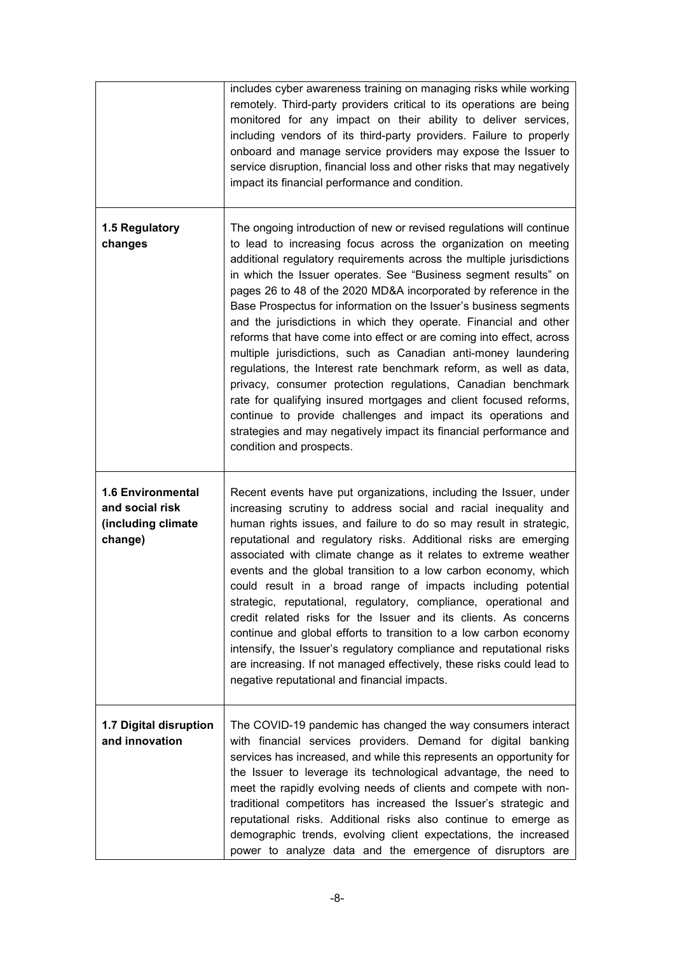|                                                                              | includes cyber awareness training on managing risks while working<br>remotely. Third-party providers critical to its operations are being<br>monitored for any impact on their ability to deliver services,<br>including vendors of its third-party providers. Failure to properly<br>onboard and manage service providers may expose the Issuer to<br>service disruption, financial loss and other risks that may negatively<br>impact its financial performance and condition.                                                                                                                                                                                                                                                                                                                                                                                                                                                                                                                                     |
|------------------------------------------------------------------------------|----------------------------------------------------------------------------------------------------------------------------------------------------------------------------------------------------------------------------------------------------------------------------------------------------------------------------------------------------------------------------------------------------------------------------------------------------------------------------------------------------------------------------------------------------------------------------------------------------------------------------------------------------------------------------------------------------------------------------------------------------------------------------------------------------------------------------------------------------------------------------------------------------------------------------------------------------------------------------------------------------------------------|
| 1.5 Regulatory<br>changes                                                    | The ongoing introduction of new or revised regulations will continue<br>to lead to increasing focus across the organization on meeting<br>additional regulatory requirements across the multiple jurisdictions<br>in which the Issuer operates. See "Business segment results" on<br>pages 26 to 48 of the 2020 MD&A incorporated by reference in the<br>Base Prospectus for information on the Issuer's business segments<br>and the jurisdictions in which they operate. Financial and other<br>reforms that have come into effect or are coming into effect, across<br>multiple jurisdictions, such as Canadian anti-money laundering<br>regulations, the Interest rate benchmark reform, as well as data,<br>privacy, consumer protection regulations, Canadian benchmark<br>rate for qualifying insured mortgages and client focused reforms,<br>continue to provide challenges and impact its operations and<br>strategies and may negatively impact its financial performance and<br>condition and prospects. |
| <b>1.6 Environmental</b><br>and social risk<br>(including climate<br>change) | Recent events have put organizations, including the Issuer, under<br>increasing scrutiny to address social and racial inequality and<br>human rights issues, and failure to do so may result in strategic,<br>reputational and regulatory risks. Additional risks are emerging<br>associated with climate change as it relates to extreme weather<br>events and the global transition to a low carbon economy, which<br>could result in a broad range of impacts including potential<br>strategic, reputational, regulatory, compliance, operational and<br>credit related risks for the Issuer and its clients. As concerns<br>continue and global efforts to transition to a low carbon economy<br>intensify, the Issuer's regulatory compliance and reputational risks<br>are increasing. If not managed effectively, these risks could lead to<br>negative reputational and financial impacts.                                                                                                                   |
| 1.7 Digital disruption<br>and innovation                                     | The COVID-19 pandemic has changed the way consumers interact<br>with financial services providers. Demand for digital banking<br>services has increased, and while this represents an opportunity for<br>the Issuer to leverage its technological advantage, the need to<br>meet the rapidly evolving needs of clients and compete with non-<br>traditional competitors has increased the Issuer's strategic and<br>reputational risks. Additional risks also continue to emerge as<br>demographic trends, evolving client expectations, the increased<br>power to analyze data and the emergence of disruptors are                                                                                                                                                                                                                                                                                                                                                                                                  |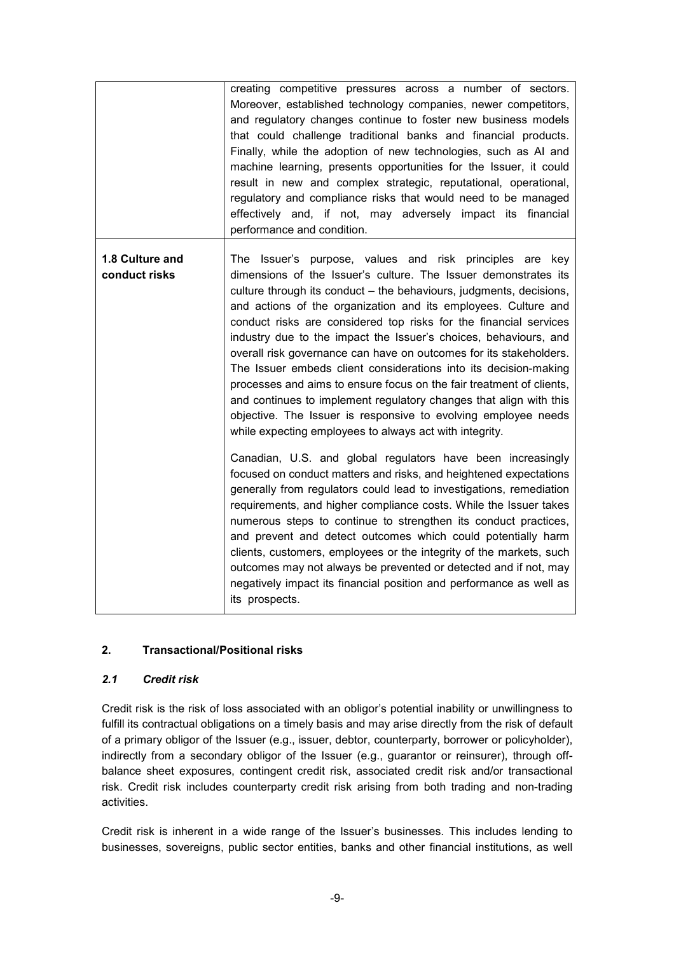|                                  | creating competitive pressures across a number of sectors.<br>Moreover, established technology companies, newer competitors,<br>and regulatory changes continue to foster new business models<br>that could challenge traditional banks and financial products.<br>Finally, while the adoption of new technologies, such as AI and<br>machine learning, presents opportunities for the Issuer, it could<br>result in new and complex strategic, reputational, operational,<br>regulatory and compliance risks that would need to be managed<br>effectively and, if not, may adversely impact its financial<br>performance and condition.                                                                                                                                                                                           |
|----------------------------------|------------------------------------------------------------------------------------------------------------------------------------------------------------------------------------------------------------------------------------------------------------------------------------------------------------------------------------------------------------------------------------------------------------------------------------------------------------------------------------------------------------------------------------------------------------------------------------------------------------------------------------------------------------------------------------------------------------------------------------------------------------------------------------------------------------------------------------|
| 1.8 Culture and<br>conduct risks | The Issuer's purpose, values and risk principles are key<br>dimensions of the Issuer's culture. The Issuer demonstrates its<br>culture through its conduct – the behaviours, judgments, decisions,<br>and actions of the organization and its employees. Culture and<br>conduct risks are considered top risks for the financial services<br>industry due to the impact the Issuer's choices, behaviours, and<br>overall risk governance can have on outcomes for its stakeholders.<br>The Issuer embeds client considerations into its decision-making<br>processes and aims to ensure focus on the fair treatment of clients,<br>and continues to implement regulatory changes that align with this<br>objective. The Issuer is responsive to evolving employee needs<br>while expecting employees to always act with integrity. |
|                                  | Canadian, U.S. and global regulators have been increasingly<br>focused on conduct matters and risks, and heightened expectations<br>generally from regulators could lead to investigations, remediation<br>requirements, and higher compliance costs. While the Issuer takes<br>numerous steps to continue to strengthen its conduct practices,<br>and prevent and detect outcomes which could potentially harm<br>clients, customers, employees or the integrity of the markets, such<br>outcomes may not always be prevented or detected and if not, may<br>negatively impact its financial position and performance as well as<br>its prospects.                                                                                                                                                                                |

## **2. Transactional/Positional risks**

## *2.1 Credit risk*

Credit risk is the risk of loss associated with an obligor's potential inability or unwillingness to fulfill its contractual obligations on a timely basis and may arise directly from the risk of default of a primary obligor of the Issuer (e.g., issuer, debtor, counterparty, borrower or policyholder), indirectly from a secondary obligor of the Issuer (e.g., guarantor or reinsurer), through offbalance sheet exposures, contingent credit risk, associated credit risk and/or transactional risk. Credit risk includes counterparty credit risk arising from both trading and non-trading activities.

Credit risk is inherent in a wide range of the Issuer's businesses. This includes lending to businesses, sovereigns, public sector entities, banks and other financial institutions, as well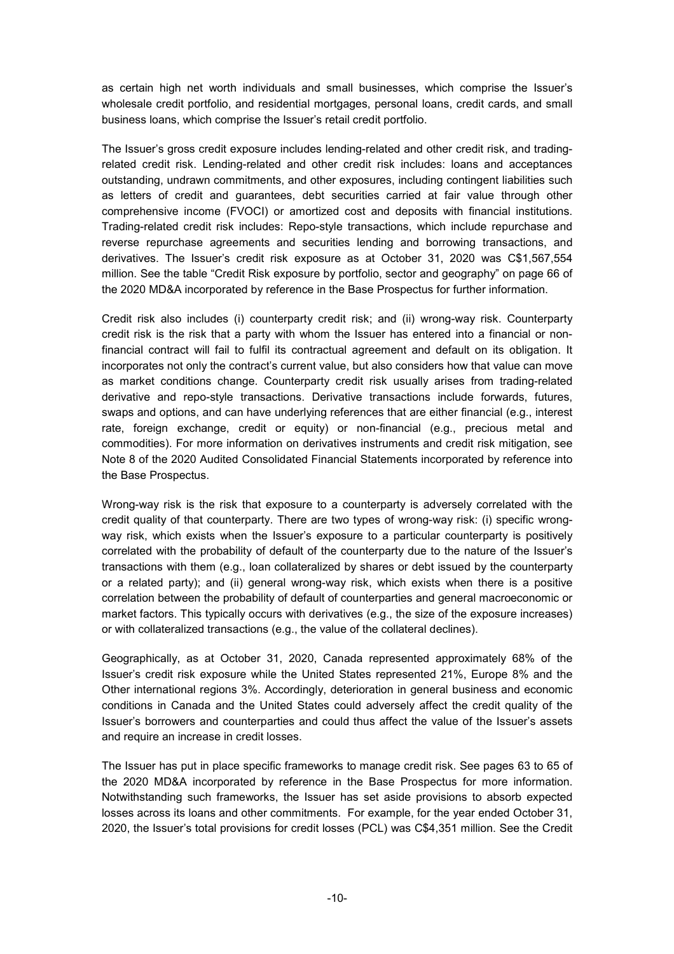as certain high net worth individuals and small businesses, which comprise the Issuer's wholesale credit portfolio, and residential mortgages, personal loans, credit cards, and small business loans, which comprise the Issuer's retail credit portfolio.

The Issuer's gross credit exposure includes lending-related and other credit risk, and tradingrelated credit risk. Lending-related and other credit risk includes: loans and acceptances outstanding, undrawn commitments, and other exposures, including contingent liabilities such as letters of credit and guarantees, debt securities carried at fair value through other comprehensive income (FVOCI) or amortized cost and deposits with financial institutions. Trading-related credit risk includes: Repo-style transactions, which include repurchase and reverse repurchase agreements and securities lending and borrowing transactions, and derivatives. The Issuer's credit risk exposure as at October 31, 2020 was C\$1,567,554 million. See the table "Credit Risk exposure by portfolio, sector and geography" on page 66 of the 2020 MD&A incorporated by reference in the Base Prospectus for further information.

Credit risk also includes (i) counterparty credit risk; and (ii) wrong-way risk. Counterparty credit risk is the risk that a party with whom the Issuer has entered into a financial or nonfinancial contract will fail to fulfil its contractual agreement and default on its obligation. It incorporates not only the contract's current value, but also considers how that value can move as market conditions change. Counterparty credit risk usually arises from trading-related derivative and repo-style transactions. Derivative transactions include forwards, futures, swaps and options, and can have underlying references that are either financial (e.g., interest rate, foreign exchange, credit or equity) or non-financial (e.g., precious metal and commodities). For more information on derivatives instruments and credit risk mitigation, see Note 8 of the 2020 Audited Consolidated Financial Statements incorporated by reference into the Base Prospectus.

Wrong-way risk is the risk that exposure to a counterparty is adversely correlated with the credit quality of that counterparty. There are two types of wrong-way risk: (i) specific wrongway risk, which exists when the Issuer's exposure to a particular counterparty is positively correlated with the probability of default of the counterparty due to the nature of the Issuer's transactions with them (e.g., loan collateralized by shares or debt issued by the counterparty or a related party); and (ii) general wrong-way risk, which exists when there is a positive correlation between the probability of default of counterparties and general macroeconomic or market factors. This typically occurs with derivatives (e.g., the size of the exposure increases) or with collateralized transactions (e.g., the value of the collateral declines).

Geographically, as at October 31, 2020, Canada represented approximately 68% of the Issuer's credit risk exposure while the United States represented 21%, Europe 8% and the Other international regions 3%. Accordingly, deterioration in general business and economic conditions in Canada and the United States could adversely affect the credit quality of the Issuer's borrowers and counterparties and could thus affect the value of the Issuer's assets and require an increase in credit losses.

The Issuer has put in place specific frameworks to manage credit risk. See pages 63 to 65 of the 2020 MD&A incorporated by reference in the Base Prospectus for more information. Notwithstanding such frameworks, the Issuer has set aside provisions to absorb expected losses across its loans and other commitments. For example, for the year ended October 31, 2020, the Issuer's total provisions for credit losses (PCL) was C\$4,351 million. See the Credit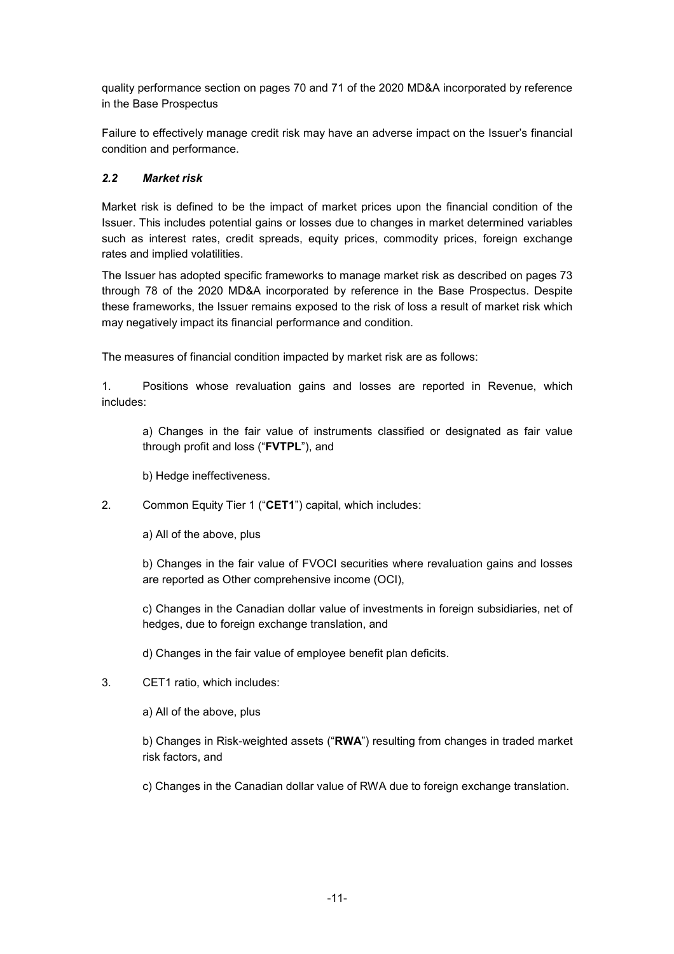quality performance section on pages 70 and 71 of the 2020 MD&A incorporated by reference in the Base Prospectus

Failure to effectively manage credit risk may have an adverse impact on the Issuer's financial condition and performance.

## *2.2 Market risk*

Market risk is defined to be the impact of market prices upon the financial condition of the Issuer. This includes potential gains or losses due to changes in market determined variables such as interest rates, credit spreads, equity prices, commodity prices, foreign exchange rates and implied volatilities.

The Issuer has adopted specific frameworks to manage market risk as described on pages 73 through 78 of the 2020 MD&A incorporated by reference in the Base Prospectus. Despite these frameworks, the Issuer remains exposed to the risk of loss a result of market risk which may negatively impact its financial performance and condition.

The measures of financial condition impacted by market risk are as follows:

1. Positions whose revaluation gains and losses are reported in Revenue, which includes:

a) Changes in the fair value of instruments classified or designated as fair value through profit and loss ("**FVTPL**"), and

b) Hedge ineffectiveness.

2. Common Equity Tier 1 ("**CET1**") capital, which includes:

a) All of the above, plus

b) Changes in the fair value of FVOCI securities where revaluation gains and losses are reported as Other comprehensive income (OCI),

c) Changes in the Canadian dollar value of investments in foreign subsidiaries, net of hedges, due to foreign exchange translation, and

d) Changes in the fair value of employee benefit plan deficits.

3. CET1 ratio, which includes:

a) All of the above, plus

b) Changes in Risk-weighted assets ("**RWA**") resulting from changes in traded market risk factors, and

c) Changes in the Canadian dollar value of RWA due to foreign exchange translation.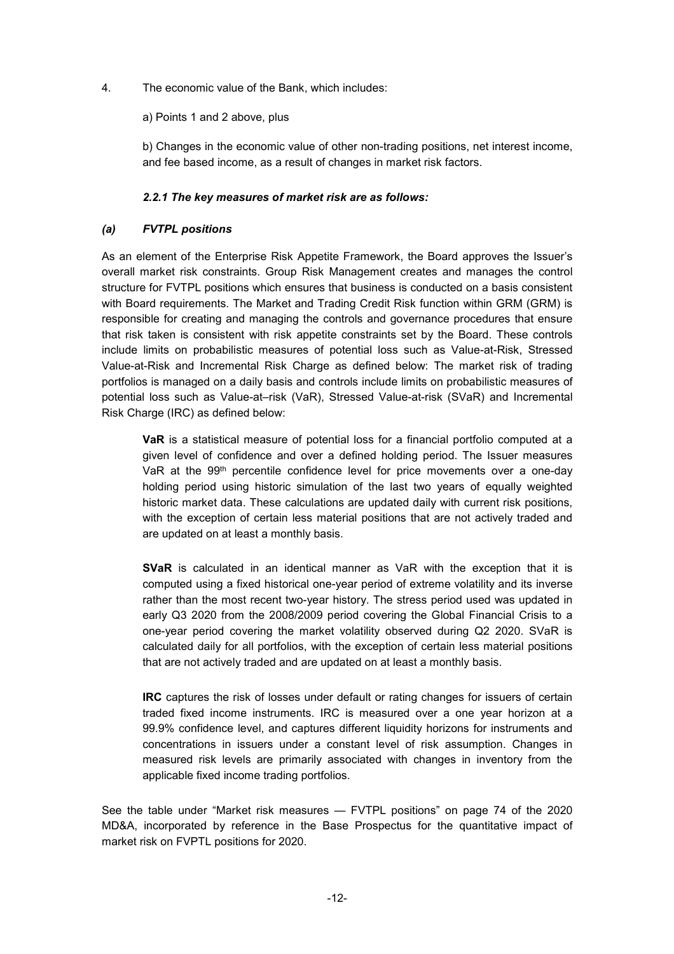4. The economic value of the Bank, which includes:

a) Points 1 and 2 above, plus

b) Changes in the economic value of other non-trading positions, net interest income, and fee based income, as a result of changes in market risk factors.

#### *2.2.1 The key measures of market risk are as follows:*

#### *(a) FVTPL positions*

As an element of the Enterprise Risk Appetite Framework, the Board approves the Issuer's overall market risk constraints. Group Risk Management creates and manages the control structure for FVTPL positions which ensures that business is conducted on a basis consistent with Board requirements. The Market and Trading Credit Risk function within GRM (GRM) is responsible for creating and managing the controls and governance procedures that ensure that risk taken is consistent with risk appetite constraints set by the Board. These controls include limits on probabilistic measures of potential loss such as Value-at-Risk, Stressed Value-at-Risk and Incremental Risk Charge as defined below: The market risk of trading portfolios is managed on a daily basis and controls include limits on probabilistic measures of potential loss such as Value-at–risk (VaR), Stressed Value-at-risk (SVaR) and Incremental Risk Charge (IRC) as defined below:

**VaR** is a statistical measure of potential loss for a financial portfolio computed at a given level of confidence and over a defined holding period. The Issuer measures VaR at the 99th percentile confidence level for price movements over a one-day holding period using historic simulation of the last two years of equally weighted historic market data. These calculations are updated daily with current risk positions, with the exception of certain less material positions that are not actively traded and are updated on at least a monthly basis.

**SVaR** is calculated in an identical manner as VaR with the exception that it is computed using a fixed historical one-year period of extreme volatility and its inverse rather than the most recent two-year history. The stress period used was updated in early Q3 2020 from the 2008/2009 period covering the Global Financial Crisis to a one-year period covering the market volatility observed during Q2 2020. SVaR is calculated daily for all portfolios, with the exception of certain less material positions that are not actively traded and are updated on at least a monthly basis.

**IRC** captures the risk of losses under default or rating changes for issuers of certain traded fixed income instruments. IRC is measured over a one year horizon at a 99.9% confidence level, and captures different liquidity horizons for instruments and concentrations in issuers under a constant level of risk assumption. Changes in measured risk levels are primarily associated with changes in inventory from the applicable fixed income trading portfolios.

See the table under "Market risk measures — FVTPL positions" on page 74 of the 2020 MD&A, incorporated by reference in the Base Prospectus for the quantitative impact of market risk on FVPTL positions for 2020.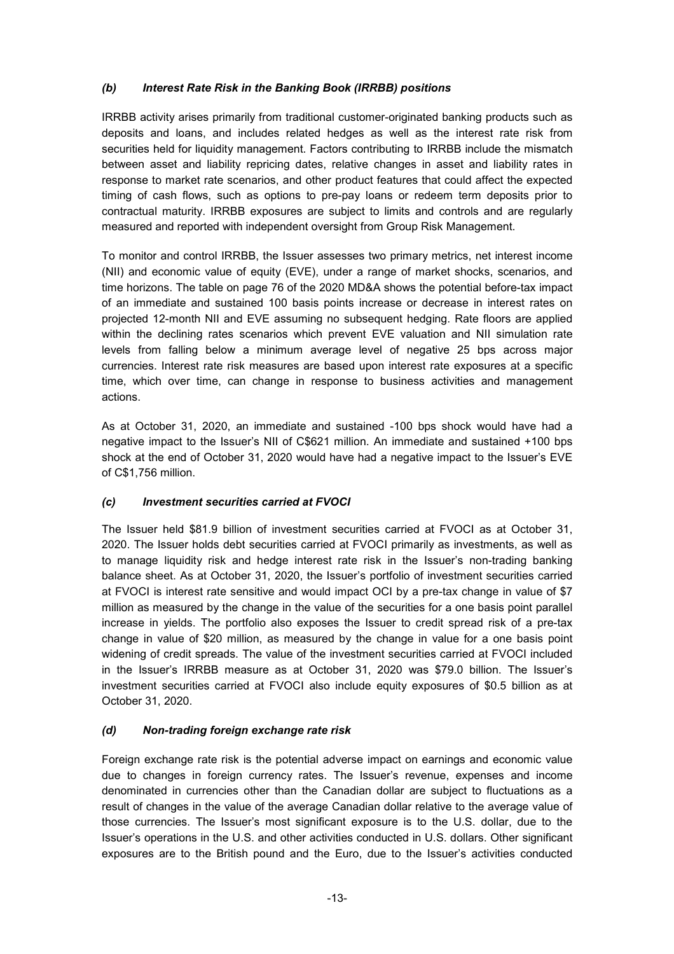# *(b) Interest Rate Risk in the Banking Book (IRRBB) positions*

IRRBB activity arises primarily from traditional customer-originated banking products such as deposits and loans, and includes related hedges as well as the interest rate risk from securities held for liquidity management. Factors contributing to IRRBB include the mismatch between asset and liability repricing dates, relative changes in asset and liability rates in response to market rate scenarios, and other product features that could affect the expected timing of cash flows, such as options to pre-pay loans or redeem term deposits prior to contractual maturity. IRRBB exposures are subject to limits and controls and are regularly measured and reported with independent oversight from Group Risk Management.

To monitor and control IRRBB, the Issuer assesses two primary metrics, net interest income (NII) and economic value of equity (EVE), under a range of market shocks, scenarios, and time horizons. The table on page 76 of the 2020 MD&A shows the potential before-tax impact of an immediate and sustained 100 basis points increase or decrease in interest rates on projected 12-month NII and EVE assuming no subsequent hedging. Rate floors are applied within the declining rates scenarios which prevent EVE valuation and NII simulation rate levels from falling below a minimum average level of negative 25 bps across major currencies. Interest rate risk measures are based upon interest rate exposures at a specific time, which over time, can change in response to business activities and management actions.

As at October 31, 2020, an immediate and sustained -100 bps shock would have had a negative impact to the Issuer's NII of C\$621 million. An immediate and sustained +100 bps shock at the end of October 31, 2020 would have had a negative impact to the Issuer's EVE of C\$1,756 million.

## *(c) Investment securities carried at FVOCI*

The Issuer held \$81.9 billion of investment securities carried at FVOCI as at October 31, 2020. The Issuer holds debt securities carried at FVOCI primarily as investments, as well as to manage liquidity risk and hedge interest rate risk in the Issuer's non-trading banking balance sheet. As at October 31, 2020, the Issuer's portfolio of investment securities carried at FVOCI is interest rate sensitive and would impact OCI by a pre-tax change in value of \$7 million as measured by the change in the value of the securities for a one basis point parallel increase in yields. The portfolio also exposes the Issuer to credit spread risk of a pre-tax change in value of \$20 million, as measured by the change in value for a one basis point widening of credit spreads. The value of the investment securities carried at FVOCI included in the Issuer's IRRBB measure as at October 31, 2020 was \$79.0 billion. The Issuer's investment securities carried at FVOCI also include equity exposures of \$0.5 billion as at October 31, 2020.

# *(d) Non-trading foreign exchange rate risk*

Foreign exchange rate risk is the potential adverse impact on earnings and economic value due to changes in foreign currency rates. The Issuer's revenue, expenses and income denominated in currencies other than the Canadian dollar are subject to fluctuations as a result of changes in the value of the average Canadian dollar relative to the average value of those currencies. The Issuer's most significant exposure is to the U.S. dollar, due to the Issuer's operations in the U.S. and other activities conducted in U.S. dollars. Other significant exposures are to the British pound and the Euro, due to the Issuer's activities conducted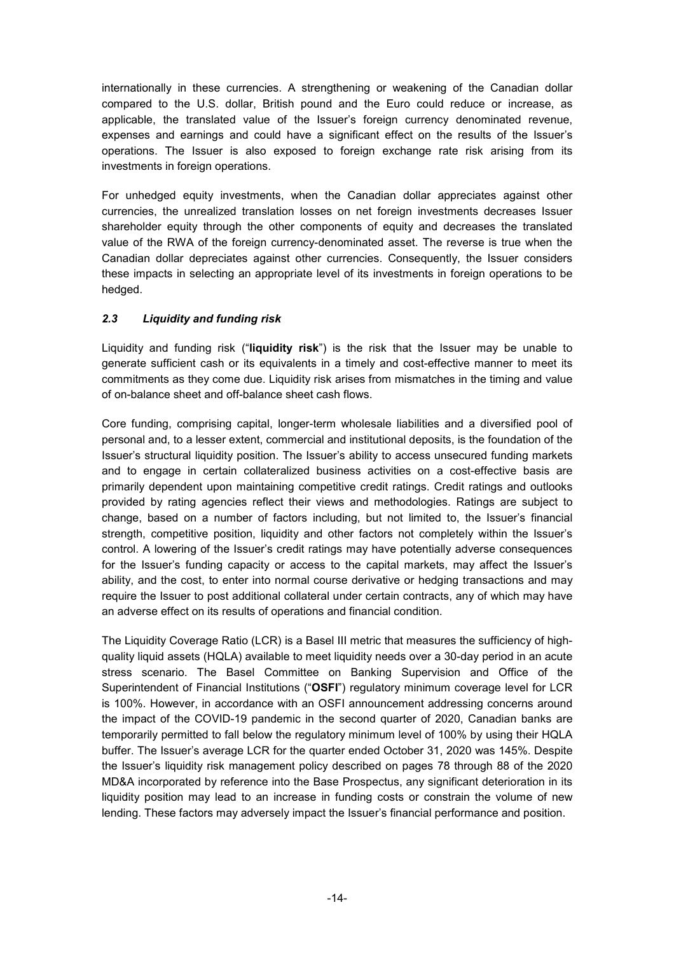internationally in these currencies. A strengthening or weakening of the Canadian dollar compared to the U.S. dollar, British pound and the Euro could reduce or increase, as applicable, the translated value of the Issuer's foreign currency denominated revenue, expenses and earnings and could have a significant effect on the results of the Issuer's operations. The Issuer is also exposed to foreign exchange rate risk arising from its investments in foreign operations.

For unhedged equity investments, when the Canadian dollar appreciates against other currencies, the unrealized translation losses on net foreign investments decreases Issuer shareholder equity through the other components of equity and decreases the translated value of the RWA of the foreign currency-denominated asset. The reverse is true when the Canadian dollar depreciates against other currencies. Consequently, the Issuer considers these impacts in selecting an appropriate level of its investments in foreign operations to be hedged.

# *2.3 Liquidity and funding risk*

Liquidity and funding risk ("**liquidity risk**") is the risk that the Issuer may be unable to generate sufficient cash or its equivalents in a timely and cost-effective manner to meet its commitments as they come due. Liquidity risk arises from mismatches in the timing and value of on-balance sheet and off-balance sheet cash flows.

Core funding, comprising capital, longer-term wholesale liabilities and a diversified pool of personal and, to a lesser extent, commercial and institutional deposits, is the foundation of the Issuer's structural liquidity position. The Issuer's ability to access unsecured funding markets and to engage in certain collateralized business activities on a cost-effective basis are primarily dependent upon maintaining competitive credit ratings. Credit ratings and outlooks provided by rating agencies reflect their views and methodologies. Ratings are subject to change, based on a number of factors including, but not limited to, the Issuer's financial strength, competitive position, liquidity and other factors not completely within the Issuer's control. A lowering of the Issuer's credit ratings may have potentially adverse consequences for the Issuer's funding capacity or access to the capital markets, may affect the Issuer's ability, and the cost, to enter into normal course derivative or hedging transactions and may require the Issuer to post additional collateral under certain contracts, any of which may have an adverse effect on its results of operations and financial condition.

The Liquidity Coverage Ratio (LCR) is a Basel III metric that measures the sufficiency of highquality liquid assets (HQLA) available to meet liquidity needs over a 30-day period in an acute stress scenario. The Basel Committee on Banking Supervision and Office of the Superintendent of Financial Institutions ("**OSFI**") regulatory minimum coverage level for LCR is 100%. However, in accordance with an OSFI announcement addressing concerns around the impact of the COVID-19 pandemic in the second quarter of 2020, Canadian banks are temporarily permitted to fall below the regulatory minimum level of 100% by using their HQLA buffer. The Issuer's average LCR for the quarter ended October 31, 2020 was 145%. Despite the Issuer's liquidity risk management policy described on pages 78 through 88 of the 2020 MD&A incorporated by reference into the Base Prospectus, any significant deterioration in its liquidity position may lead to an increase in funding costs or constrain the volume of new lending. These factors may adversely impact the Issuer's financial performance and position.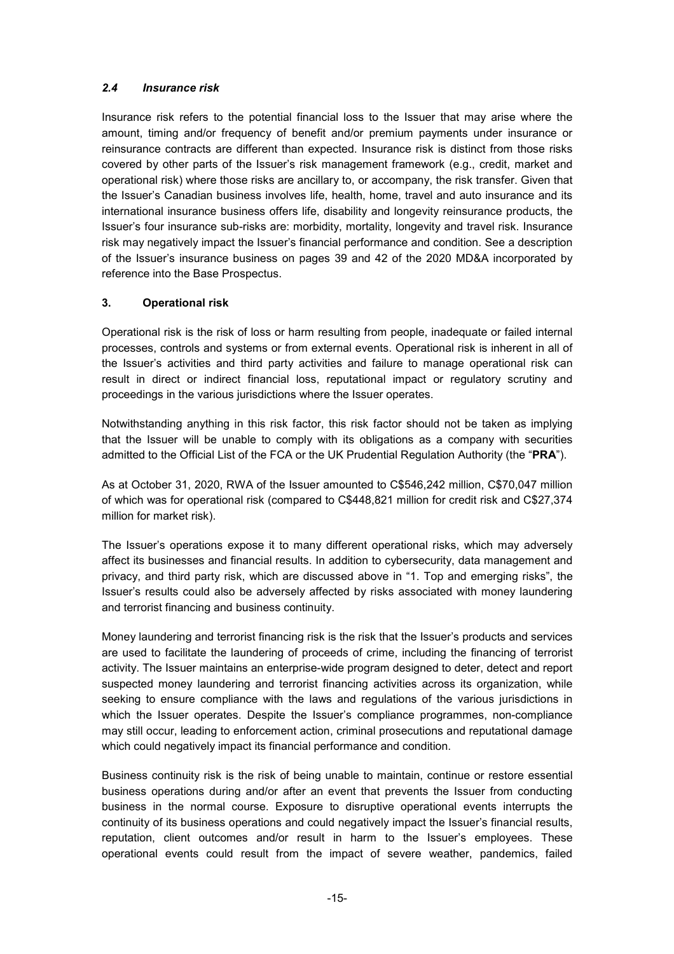## *2.4 Insurance risk*

Insurance risk refers to the potential financial loss to the Issuer that may arise where the amount, timing and/or frequency of benefit and/or premium payments under insurance or reinsurance contracts are different than expected. Insurance risk is distinct from those risks covered by other parts of the Issuer's risk management framework (e.g., credit, market and operational risk) where those risks are ancillary to, or accompany, the risk transfer. Given that the Issuer's Canadian business involves life, health, home, travel and auto insurance and its international insurance business offers life, disability and longevity reinsurance products, the Issuer's four insurance sub-risks are: morbidity, mortality, longevity and travel risk. Insurance risk may negatively impact the Issuer's financial performance and condition. See a description of the Issuer's insurance business on pages 39 and 42 of the 2020 MD&A incorporated by reference into the Base Prospectus.

# **3. Operational risk**

Operational risk is the risk of loss or harm resulting from people, inadequate or failed internal processes, controls and systems or from external events. Operational risk is inherent in all of the Issuer's activities and third party activities and failure to manage operational risk can result in direct or indirect financial loss, reputational impact or regulatory scrutiny and proceedings in the various jurisdictions where the Issuer operates.

Notwithstanding anything in this risk factor, this risk factor should not be taken as implying that the Issuer will be unable to comply with its obligations as a company with securities admitted to the Official List of the FCA or the UK Prudential Regulation Authority (the "**PRA**").

As at October 31, 2020, RWA of the Issuer amounted to C\$546,242 million, C\$70,047 million of which was for operational risk (compared to C\$448,821 million for credit risk and C\$27,374 million for market risk).

The Issuer's operations expose it to many different operational risks, which may adversely affect its businesses and financial results. In addition to cybersecurity, data management and privacy, and third party risk, which are discussed above in "1. Top and emerging risks", the Issuer's results could also be adversely affected by risks associated with money laundering and terrorist financing and business continuity.

Money laundering and terrorist financing risk is the risk that the Issuer's products and services are used to facilitate the laundering of proceeds of crime, including the financing of terrorist activity. The Issuer maintains an enterprise-wide program designed to deter, detect and report suspected money laundering and terrorist financing activities across its organization, while seeking to ensure compliance with the laws and regulations of the various jurisdictions in which the Issuer operates. Despite the Issuer's compliance programmes, non-compliance may still occur, leading to enforcement action, criminal prosecutions and reputational damage which could negatively impact its financial performance and condition.

Business continuity risk is the risk of being unable to maintain, continue or restore essential business operations during and/or after an event that prevents the Issuer from conducting business in the normal course. Exposure to disruptive operational events interrupts the continuity of its business operations and could negatively impact the Issuer's financial results, reputation, client outcomes and/or result in harm to the Issuer's employees. These operational events could result from the impact of severe weather, pandemics, failed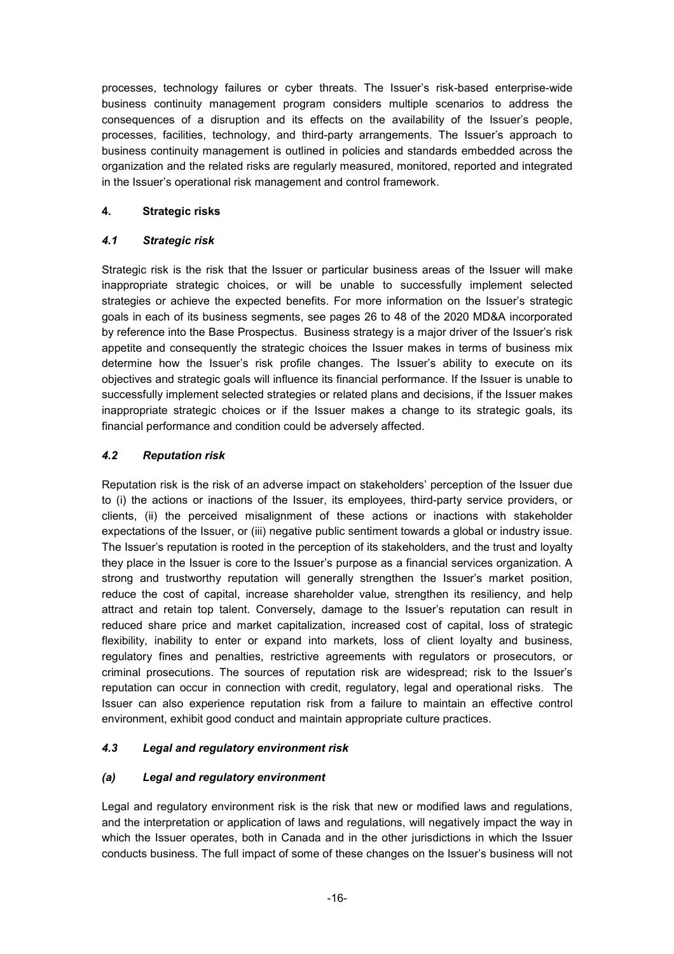processes, technology failures or cyber threats. The Issuer's risk-based enterprise-wide business continuity management program considers multiple scenarios to address the consequences of a disruption and its effects on the availability of the Issuer's people, processes, facilities, technology, and third-party arrangements. The Issuer's approach to business continuity management is outlined in policies and standards embedded across the organization and the related risks are regularly measured, monitored, reported and integrated in the Issuer's operational risk management and control framework.

## **4. Strategic risks**

# *4.1 Strategic risk*

Strategic risk is the risk that the Issuer or particular business areas of the Issuer will make inappropriate strategic choices, or will be unable to successfully implement selected strategies or achieve the expected benefits. For more information on the Issuer's strategic goals in each of its business segments, see pages 26 to 48 of the 2020 MD&A incorporated by reference into the Base Prospectus. Business strategy is a major driver of the Issuer's risk appetite and consequently the strategic choices the Issuer makes in terms of business mix determine how the Issuer's risk profile changes. The Issuer's ability to execute on its objectives and strategic goals will influence its financial performance. If the Issuer is unable to successfully implement selected strategies or related plans and decisions, if the Issuer makes inappropriate strategic choices or if the Issuer makes a change to its strategic goals, its financial performance and condition could be adversely affected.

# *4.2 Reputation risk*

Reputation risk is the risk of an adverse impact on stakeholders' perception of the Issuer due to (i) the actions or inactions of the Issuer, its employees, third-party service providers, or clients, (ii) the perceived misalignment of these actions or inactions with stakeholder expectations of the Issuer, or (iii) negative public sentiment towards a global or industry issue. The Issuer's reputation is rooted in the perception of its stakeholders, and the trust and loyalty they place in the Issuer is core to the Issuer's purpose as a financial services organization. A strong and trustworthy reputation will generally strengthen the Issuer's market position, reduce the cost of capital, increase shareholder value, strengthen its resiliency, and help attract and retain top talent. Conversely, damage to the Issuer's reputation can result in reduced share price and market capitalization, increased cost of capital, loss of strategic flexibility, inability to enter or expand into markets, loss of client loyalty and business, regulatory fines and penalties, restrictive agreements with regulators or prosecutors, or criminal prosecutions. The sources of reputation risk are widespread; risk to the Issuer's reputation can occur in connection with credit, regulatory, legal and operational risks. The Issuer can also experience reputation risk from a failure to maintain an effective control environment, exhibit good conduct and maintain appropriate culture practices.

## *4.3 Legal and regulatory environment risk*

## *(a) Legal and regulatory environment*

Legal and regulatory environment risk is the risk that new or modified laws and regulations, and the interpretation or application of laws and regulations, will negatively impact the way in which the Issuer operates, both in Canada and in the other jurisdictions in which the Issuer conducts business. The full impact of some of these changes on the Issuer's business will not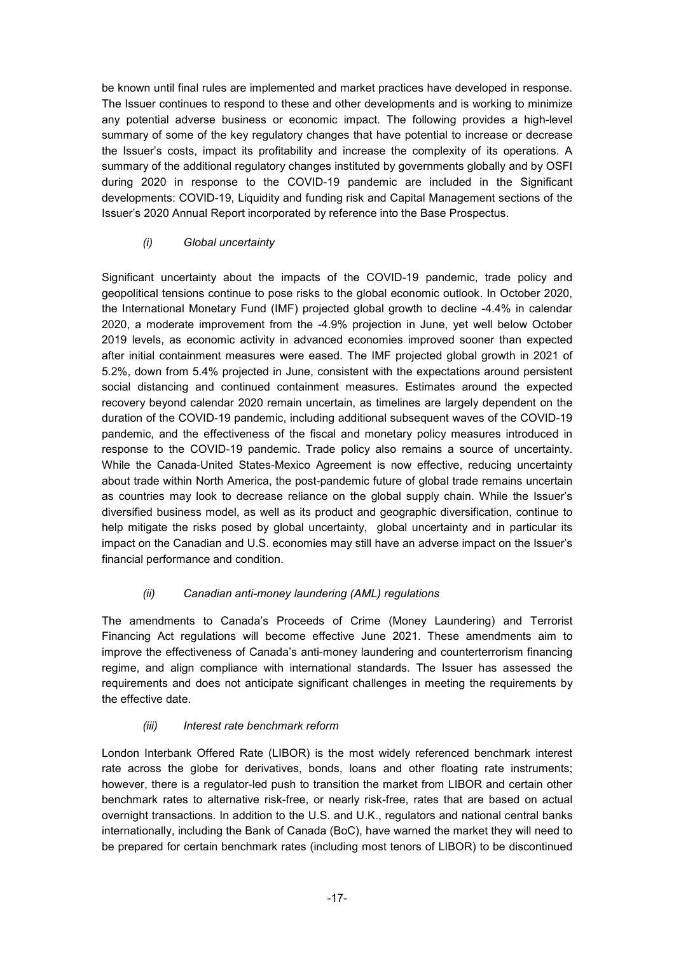be known until final rules are implemented and market practices have developed in response. The Issuer continues to respond to these and other developments and is working to minimize any potential adverse business or economic impact. The following provides a high-level summary of some of the key regulatory changes that have potential to increase or decrease the Issuer's costs, impact its profitability and increase the complexity of its operations. A summary of the additional regulatory changes instituted by governments globally and by OSFI during 2020 in response to the COVID-19 pandemic are included in the Significant developments: COVID-19, Liquidity and funding risk and Capital Management sections of the Issuer's 2020 Annual Report incorporated by reference into the Base Prospectus.

# *(i) Global uncertainty*

Significant uncertainty about the impacts of the COVID-19 pandemic, trade policy and geopolitical tensions continue to pose risks to the global economic outlook. In October 2020, the International Monetary Fund (IMF) projected global growth to decline -4.4% in calendar 2020, a moderate improvement from the -4.9% projection in June, yet well below October 2019 levels, as economic activity in advanced economies improved sooner than expected after initial containment measures were eased. The IMF projected global growth in 2021 of 5.2%, down from 5.4% projected in June, consistent with the expectations around persistent social distancing and continued containment measures. Estimates around the expected recovery beyond calendar 2020 remain uncertain, as timelines are largely dependent on the duration of the COVID-19 pandemic, including additional subsequent waves of the COVID-19 pandemic, and the effectiveness of the fiscal and monetary policy measures introduced in response to the COVID-19 pandemic. Trade policy also remains a source of uncertainty. While the Canada-United States-Mexico Agreement is now effective, reducing uncertainty about trade within North America, the post-pandemic future of global trade remains uncertain as countries may look to decrease reliance on the global supply chain. While the Issuer's diversified business model, as well as its product and geographic diversification, continue to help mitigate the risks posed by global uncertainty, global uncertainty and in particular its impact on the Canadian and U.S. economies may still have an adverse impact on the Issuer's financial performance and condition.

## *(ii) Canadian anti-money laundering (AML) regulations*

The amendments to Canada's Proceeds of Crime (Money Laundering) and Terrorist Financing Act regulations will become effective June 2021. These amendments aim to improve the effectiveness of Canada's anti-money laundering and counterterrorism financing regime, and align compliance with international standards. The Issuer has assessed the requirements and does not anticipate significant challenges in meeting the requirements by the effective date.

## *(iii) Interest rate benchmark reform*

London Interbank Offered Rate (LIBOR) is the most widely referenced benchmark interest rate across the globe for derivatives, bonds, loans and other floating rate instruments; however, there is a regulator-led push to transition the market from LIBOR and certain other benchmark rates to alternative risk-free, or nearly risk-free, rates that are based on actual overnight transactions. In addition to the U.S. and U.K., regulators and national central banks internationally, including the Bank of Canada (BoC), have warned the market they will need to be prepared for certain benchmark rates (including most tenors of LIBOR) to be discontinued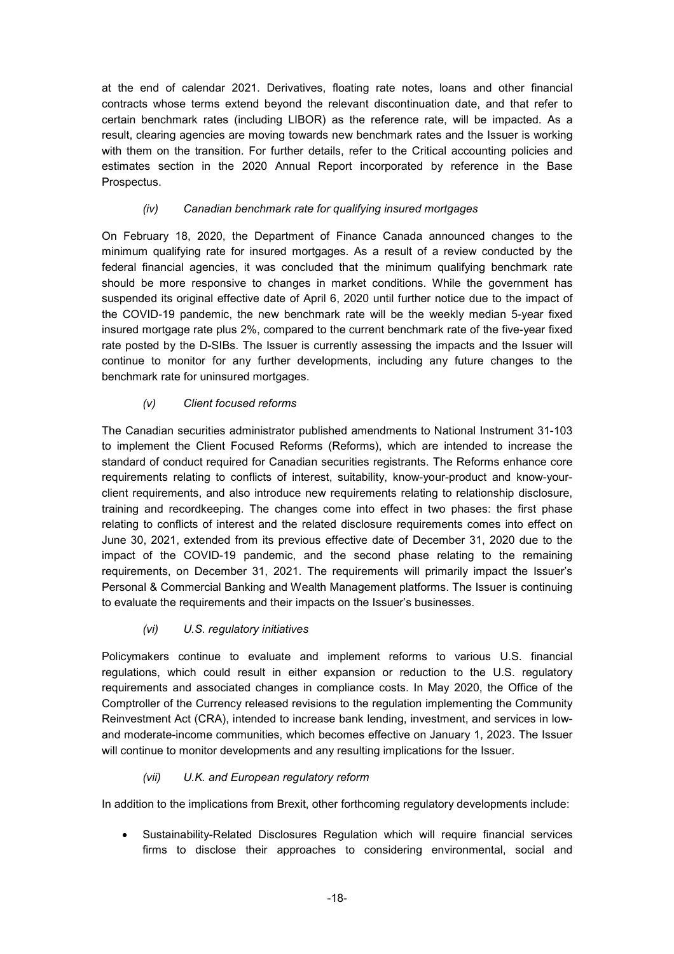at the end of calendar 2021. Derivatives, floating rate notes, loans and other financial contracts whose terms extend beyond the relevant discontinuation date, and that refer to certain benchmark rates (including LIBOR) as the reference rate, will be impacted. As a result, clearing agencies are moving towards new benchmark rates and the Issuer is working with them on the transition. For further details, refer to the Critical accounting policies and estimates section in the 2020 Annual Report incorporated by reference in the Base Prospectus.

## *(iv) Canadian benchmark rate for qualifying insured mortgages*

On February 18, 2020, the Department of Finance Canada announced changes to the minimum qualifying rate for insured mortgages. As a result of a review conducted by the federal financial agencies, it was concluded that the minimum qualifying benchmark rate should be more responsive to changes in market conditions. While the government has suspended its original effective date of April 6, 2020 until further notice due to the impact of the COVID-19 pandemic, the new benchmark rate will be the weekly median 5-year fixed insured mortgage rate plus 2%, compared to the current benchmark rate of the five-year fixed rate posted by the D-SIBs. The Issuer is currently assessing the impacts and the Issuer will continue to monitor for any further developments, including any future changes to the benchmark rate for uninsured mortgages.

## *(v) Client focused reforms*

The Canadian securities administrator published amendments to National Instrument 31-103 to implement the Client Focused Reforms (Reforms), which are intended to increase the standard of conduct required for Canadian securities registrants. The Reforms enhance core requirements relating to conflicts of interest, suitability, know-your-product and know-yourclient requirements, and also introduce new requirements relating to relationship disclosure, training and recordkeeping. The changes come into effect in two phases: the first phase relating to conflicts of interest and the related disclosure requirements comes into effect on June 30, 2021, extended from its previous effective date of December 31, 2020 due to the impact of the COVID-19 pandemic, and the second phase relating to the remaining requirements, on December 31, 2021. The requirements will primarily impact the Issuer's Personal & Commercial Banking and Wealth Management platforms. The Issuer is continuing to evaluate the requirements and their impacts on the Issuer's businesses.

## *(vi) U.S. regulatory initiatives*

Policymakers continue to evaluate and implement reforms to various U.S. financial regulations, which could result in either expansion or reduction to the U.S. regulatory requirements and associated changes in compliance costs. In May 2020, the Office of the Comptroller of the Currency released revisions to the regulation implementing the Community Reinvestment Act (CRA), intended to increase bank lending, investment, and services in lowand moderate-income communities, which becomes effective on January 1, 2023. The Issuer will continue to monitor developments and any resulting implications for the Issuer.

## *(vii) U.K. and European regulatory reform*

In addition to the implications from Brexit, other forthcoming regulatory developments include:

• Sustainability-Related Disclosures Regulation which will require financial services firms to disclose their approaches to considering environmental, social and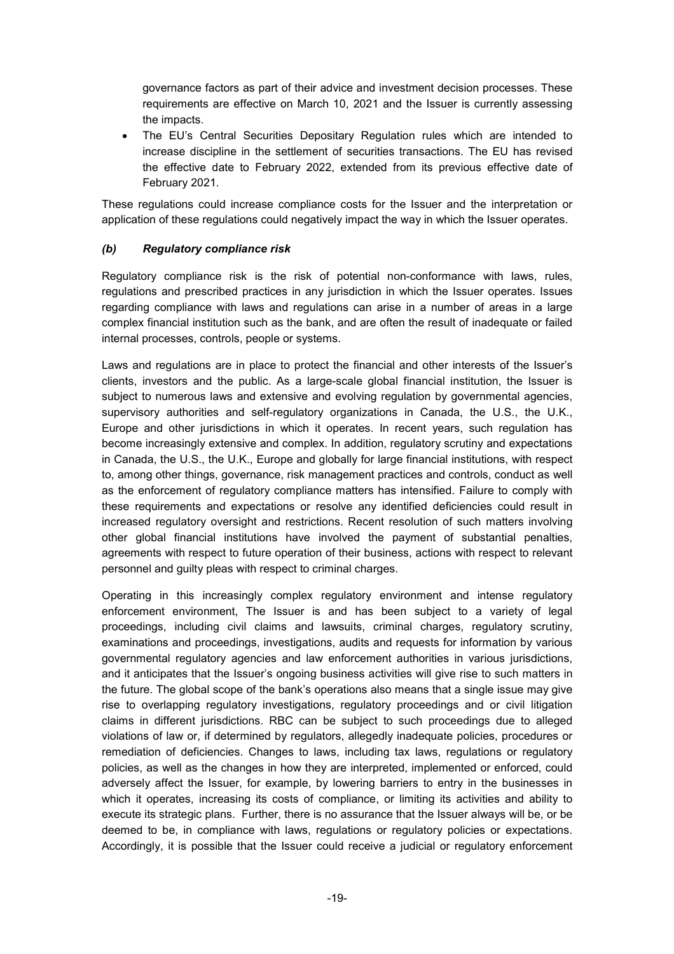governance factors as part of their advice and investment decision processes. These requirements are effective on March 10, 2021 and the Issuer is currently assessing the impacts.

• The EU's Central Securities Depositary Regulation rules which are intended to increase discipline in the settlement of securities transactions. The EU has revised the effective date to February 2022, extended from its previous effective date of February 2021.

These regulations could increase compliance costs for the Issuer and the interpretation or application of these regulations could negatively impact the way in which the Issuer operates.

#### *(b) Regulatory compliance risk*

Regulatory compliance risk is the risk of potential non-conformance with laws, rules, regulations and prescribed practices in any jurisdiction in which the Issuer operates. Issues regarding compliance with laws and regulations can arise in a number of areas in a large complex financial institution such as the bank, and are often the result of inadequate or failed internal processes, controls, people or systems.

Laws and regulations are in place to protect the financial and other interests of the Issuer's clients, investors and the public. As a large-scale global financial institution, the Issuer is subject to numerous laws and extensive and evolving regulation by governmental agencies, supervisory authorities and self-regulatory organizations in Canada, the U.S., the U.K., Europe and other jurisdictions in which it operates. In recent years, such regulation has become increasingly extensive and complex. In addition, regulatory scrutiny and expectations in Canada, the U.S., the U.K., Europe and globally for large financial institutions, with respect to, among other things, governance, risk management practices and controls, conduct as well as the enforcement of regulatory compliance matters has intensified. Failure to comply with these requirements and expectations or resolve any identified deficiencies could result in increased regulatory oversight and restrictions. Recent resolution of such matters involving other global financial institutions have involved the payment of substantial penalties, agreements with respect to future operation of their business, actions with respect to relevant personnel and guilty pleas with respect to criminal charges.

Operating in this increasingly complex regulatory environment and intense regulatory enforcement environment, The Issuer is and has been subject to a variety of legal proceedings, including civil claims and lawsuits, criminal charges, regulatory scrutiny, examinations and proceedings, investigations, audits and requests for information by various governmental regulatory agencies and law enforcement authorities in various jurisdictions, and it anticipates that the Issuer's ongoing business activities will give rise to such matters in the future. The global scope of the bank's operations also means that a single issue may give rise to overlapping regulatory investigations, regulatory proceedings and or civil litigation claims in different jurisdictions. RBC can be subject to such proceedings due to alleged violations of law or, if determined by regulators, allegedly inadequate policies, procedures or remediation of deficiencies. Changes to laws, including tax laws, regulations or regulatory policies, as well as the changes in how they are interpreted, implemented or enforced, could adversely affect the Issuer, for example, by lowering barriers to entry in the businesses in which it operates, increasing its costs of compliance, or limiting its activities and ability to execute its strategic plans. Further, there is no assurance that the Issuer always will be, or be deemed to be, in compliance with laws, regulations or regulatory policies or expectations. Accordingly, it is possible that the Issuer could receive a judicial or regulatory enforcement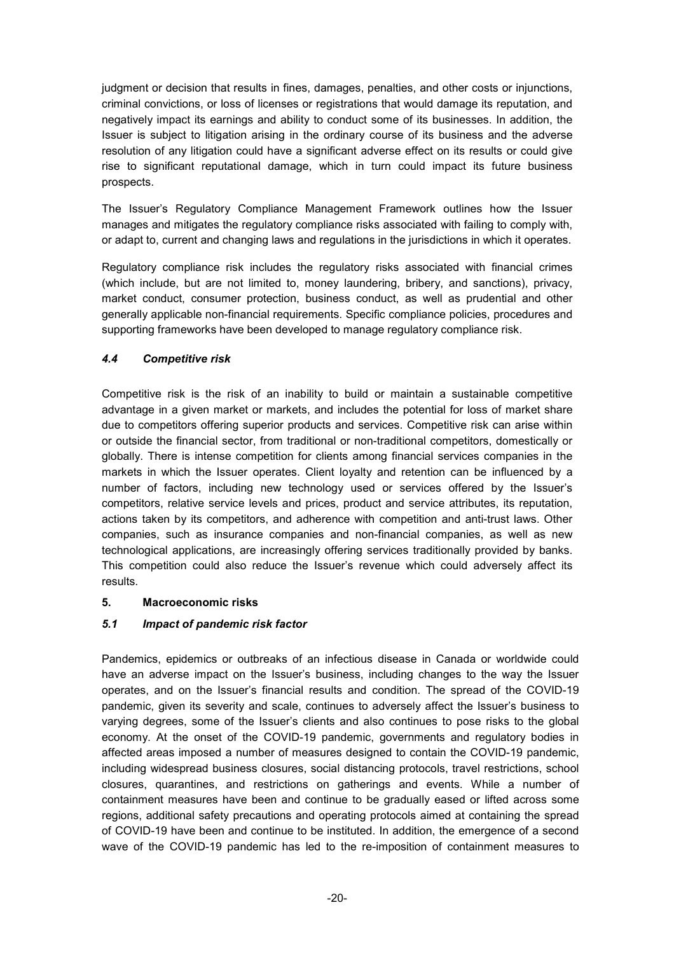judgment or decision that results in fines, damages, penalties, and other costs or injunctions, criminal convictions, or loss of licenses or registrations that would damage its reputation, and negatively impact its earnings and ability to conduct some of its businesses. In addition, the Issuer is subject to litigation arising in the ordinary course of its business and the adverse resolution of any litigation could have a significant adverse effect on its results or could give rise to significant reputational damage, which in turn could impact its future business prospects.

The Issuer's Regulatory Compliance Management Framework outlines how the Issuer manages and mitigates the regulatory compliance risks associated with failing to comply with, or adapt to, current and changing laws and regulations in the jurisdictions in which it operates.

Regulatory compliance risk includes the regulatory risks associated with financial crimes (which include, but are not limited to, money laundering, bribery, and sanctions), privacy, market conduct, consumer protection, business conduct, as well as prudential and other generally applicable non-financial requirements. Specific compliance policies, procedures and supporting frameworks have been developed to manage regulatory compliance risk.

## *4.4 Competitive risk*

Competitive risk is the risk of an inability to build or maintain a sustainable competitive advantage in a given market or markets, and includes the potential for loss of market share due to competitors offering superior products and services. Competitive risk can arise within or outside the financial sector, from traditional or non-traditional competitors, domestically or globally. There is intense competition for clients among financial services companies in the markets in which the Issuer operates. Client loyalty and retention can be influenced by a number of factors, including new technology used or services offered by the Issuer's competitors, relative service levels and prices, product and service attributes, its reputation, actions taken by its competitors, and adherence with competition and anti-trust laws. Other companies, such as insurance companies and non-financial companies, as well as new technological applications, are increasingly offering services traditionally provided by banks. This competition could also reduce the Issuer's revenue which could adversely affect its results.

## **5. Macroeconomic risks**

# *5.1 Impact of pandemic risk factor*

Pandemics, epidemics or outbreaks of an infectious disease in Canada or worldwide could have an adverse impact on the Issuer's business, including changes to the way the Issuer operates, and on the Issuer's financial results and condition. The spread of the COVID-19 pandemic, given its severity and scale, continues to adversely affect the Issuer's business to varying degrees, some of the Issuer's clients and also continues to pose risks to the global economy. At the onset of the COVID-19 pandemic, governments and regulatory bodies in affected areas imposed a number of measures designed to contain the COVID-19 pandemic, including widespread business closures, social distancing protocols, travel restrictions, school closures, quarantines, and restrictions on gatherings and events. While a number of containment measures have been and continue to be gradually eased or lifted across some regions, additional safety precautions and operating protocols aimed at containing the spread of COVID-19 have been and continue to be instituted. In addition, the emergence of a second wave of the COVID-19 pandemic has led to the re-imposition of containment measures to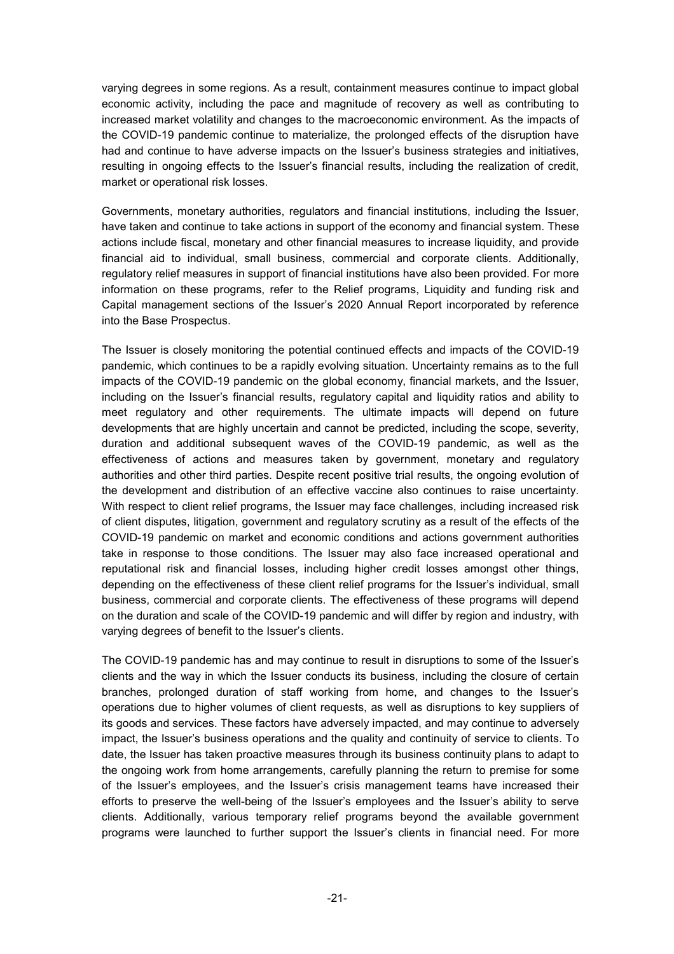varying degrees in some regions. As a result, containment measures continue to impact global economic activity, including the pace and magnitude of recovery as well as contributing to increased market volatility and changes to the macroeconomic environment. As the impacts of the COVID-19 pandemic continue to materialize, the prolonged effects of the disruption have had and continue to have adverse impacts on the Issuer's business strategies and initiatives, resulting in ongoing effects to the Issuer's financial results, including the realization of credit, market or operational risk losses.

Governments, monetary authorities, regulators and financial institutions, including the Issuer, have taken and continue to take actions in support of the economy and financial system. These actions include fiscal, monetary and other financial measures to increase liquidity, and provide financial aid to individual, small business, commercial and corporate clients. Additionally, regulatory relief measures in support of financial institutions have also been provided. For more information on these programs, refer to the Relief programs, Liquidity and funding risk and Capital management sections of the Issuer's 2020 Annual Report incorporated by reference into the Base Prospectus.

The Issuer is closely monitoring the potential continued effects and impacts of the COVID-19 pandemic, which continues to be a rapidly evolving situation. Uncertainty remains as to the full impacts of the COVID-19 pandemic on the global economy, financial markets, and the Issuer, including on the Issuer's financial results, regulatory capital and liquidity ratios and ability to meet regulatory and other requirements. The ultimate impacts will depend on future developments that are highly uncertain and cannot be predicted, including the scope, severity, duration and additional subsequent waves of the COVID-19 pandemic, as well as the effectiveness of actions and measures taken by government, monetary and regulatory authorities and other third parties. Despite recent positive trial results, the ongoing evolution of the development and distribution of an effective vaccine also continues to raise uncertainty. With respect to client relief programs, the Issuer may face challenges, including increased risk of client disputes, litigation, government and regulatory scrutiny as a result of the effects of the COVID-19 pandemic on market and economic conditions and actions government authorities take in response to those conditions. The Issuer may also face increased operational and reputational risk and financial losses, including higher credit losses amongst other things, depending on the effectiveness of these client relief programs for the Issuer's individual, small business, commercial and corporate clients. The effectiveness of these programs will depend on the duration and scale of the COVID-19 pandemic and will differ by region and industry, with varying degrees of benefit to the Issuer's clients.

The COVID-19 pandemic has and may continue to result in disruptions to some of the Issuer's clients and the way in which the Issuer conducts its business, including the closure of certain branches, prolonged duration of staff working from home, and changes to the Issuer's operations due to higher volumes of client requests, as well as disruptions to key suppliers of its goods and services. These factors have adversely impacted, and may continue to adversely impact, the Issuer's business operations and the quality and continuity of service to clients. To date, the Issuer has taken proactive measures through its business continuity plans to adapt to the ongoing work from home arrangements, carefully planning the return to premise for some of the Issuer's employees, and the Issuer's crisis management teams have increased their efforts to preserve the well-being of the Issuer's employees and the Issuer's ability to serve clients. Additionally, various temporary relief programs beyond the available government programs were launched to further support the Issuer's clients in financial need. For more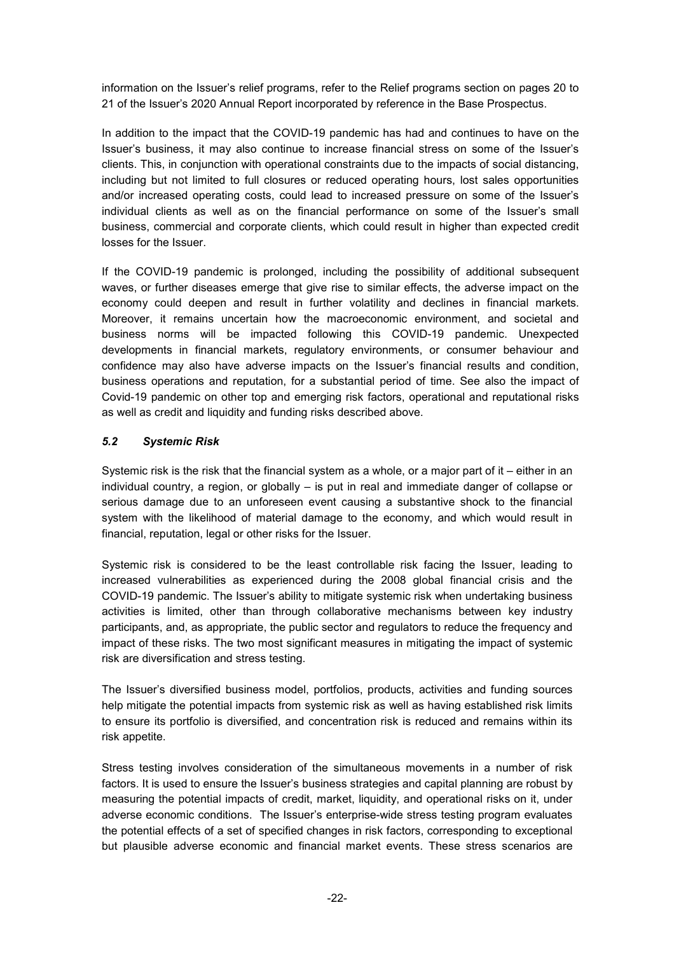information on the Issuer's relief programs, refer to the Relief programs section on pages 20 to 21 of the Issuer's 2020 Annual Report incorporated by reference in the Base Prospectus.

In addition to the impact that the COVID-19 pandemic has had and continues to have on the Issuer's business, it may also continue to increase financial stress on some of the Issuer's clients. This, in conjunction with operational constraints due to the impacts of social distancing, including but not limited to full closures or reduced operating hours, lost sales opportunities and/or increased operating costs, could lead to increased pressure on some of the Issuer's individual clients as well as on the financial performance on some of the Issuer's small business, commercial and corporate clients, which could result in higher than expected credit losses for the Issuer.

If the COVID-19 pandemic is prolonged, including the possibility of additional subsequent waves, or further diseases emerge that give rise to similar effects, the adverse impact on the economy could deepen and result in further volatility and declines in financial markets. Moreover, it remains uncertain how the macroeconomic environment, and societal and business norms will be impacted following this COVID-19 pandemic. Unexpected developments in financial markets, regulatory environments, or consumer behaviour and confidence may also have adverse impacts on the Issuer's financial results and condition, business operations and reputation, for a substantial period of time. See also the impact of Covid-19 pandemic on other top and emerging risk factors, operational and reputational risks as well as credit and liquidity and funding risks described above.

#### *5.2 Systemic Risk*

Systemic risk is the risk that the financial system as a whole, or a major part of it – either in an individual country, a region, or globally – is put in real and immediate danger of collapse or serious damage due to an unforeseen event causing a substantive shock to the financial system with the likelihood of material damage to the economy, and which would result in financial, reputation, legal or other risks for the Issuer.

Systemic risk is considered to be the least controllable risk facing the Issuer, leading to increased vulnerabilities as experienced during the 2008 global financial crisis and the COVID-19 pandemic. The Issuer's ability to mitigate systemic risk when undertaking business activities is limited, other than through collaborative mechanisms between key industry participants, and, as appropriate, the public sector and regulators to reduce the frequency and impact of these risks. The two most significant measures in mitigating the impact of systemic risk are diversification and stress testing.

The Issuer's diversified business model, portfolios, products, activities and funding sources help mitigate the potential impacts from systemic risk as well as having established risk limits to ensure its portfolio is diversified, and concentration risk is reduced and remains within its risk appetite.

Stress testing involves consideration of the simultaneous movements in a number of risk factors. It is used to ensure the Issuer's business strategies and capital planning are robust by measuring the potential impacts of credit, market, liquidity, and operational risks on it, under adverse economic conditions. The Issuer's enterprise-wide stress testing program evaluates the potential effects of a set of specified changes in risk factors, corresponding to exceptional but plausible adverse economic and financial market events. These stress scenarios are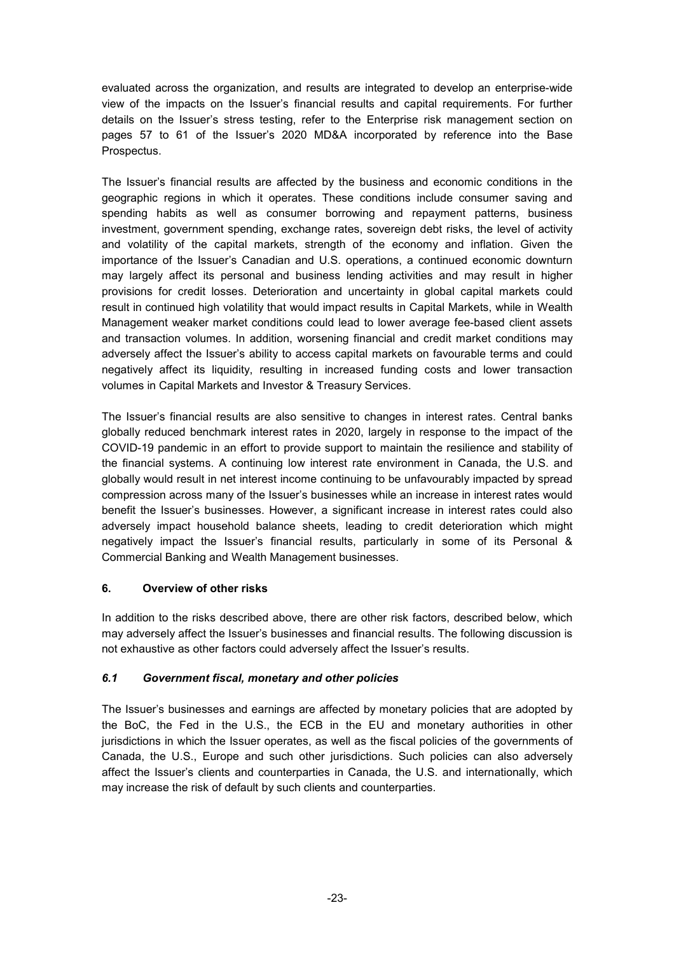evaluated across the organization, and results are integrated to develop an enterprise-wide view of the impacts on the Issuer's financial results and capital requirements. For further details on the Issuer's stress testing, refer to the Enterprise risk management section on pages 57 to 61 of the Issuer's 2020 MD&A incorporated by reference into the Base Prospectus.

The Issuer's financial results are affected by the business and economic conditions in the geographic regions in which it operates. These conditions include consumer saving and spending habits as well as consumer borrowing and repayment patterns, business investment, government spending, exchange rates, sovereign debt risks, the level of activity and volatility of the capital markets, strength of the economy and inflation. Given the importance of the Issuer's Canadian and U.S. operations, a continued economic downturn may largely affect its personal and business lending activities and may result in higher provisions for credit losses. Deterioration and uncertainty in global capital markets could result in continued high volatility that would impact results in Capital Markets, while in Wealth Management weaker market conditions could lead to lower average fee-based client assets and transaction volumes. In addition, worsening financial and credit market conditions may adversely affect the Issuer's ability to access capital markets on favourable terms and could negatively affect its liquidity, resulting in increased funding costs and lower transaction volumes in Capital Markets and Investor & Treasury Services.

The Issuer's financial results are also sensitive to changes in interest rates. Central banks globally reduced benchmark interest rates in 2020, largely in response to the impact of the COVID-19 pandemic in an effort to provide support to maintain the resilience and stability of the financial systems. A continuing low interest rate environment in Canada, the U.S. and globally would result in net interest income continuing to be unfavourably impacted by spread compression across many of the Issuer's businesses while an increase in interest rates would benefit the Issuer's businesses. However, a significant increase in interest rates could also adversely impact household balance sheets, leading to credit deterioration which might negatively impact the Issuer's financial results, particularly in some of its Personal & Commercial Banking and Wealth Management businesses.

## **6. Overview of other risks**

In addition to the risks described above, there are other risk factors, described below, which may adversely affect the Issuer's businesses and financial results. The following discussion is not exhaustive as other factors could adversely affect the Issuer's results.

## *6.1 Government fiscal, monetary and other policies*

The Issuer's businesses and earnings are affected by monetary policies that are adopted by the BoC, the Fed in the U.S., the ECB in the EU and monetary authorities in other jurisdictions in which the Issuer operates, as well as the fiscal policies of the governments of Canada, the U.S., Europe and such other jurisdictions. Such policies can also adversely affect the Issuer's clients and counterparties in Canada, the U.S. and internationally, which may increase the risk of default by such clients and counterparties.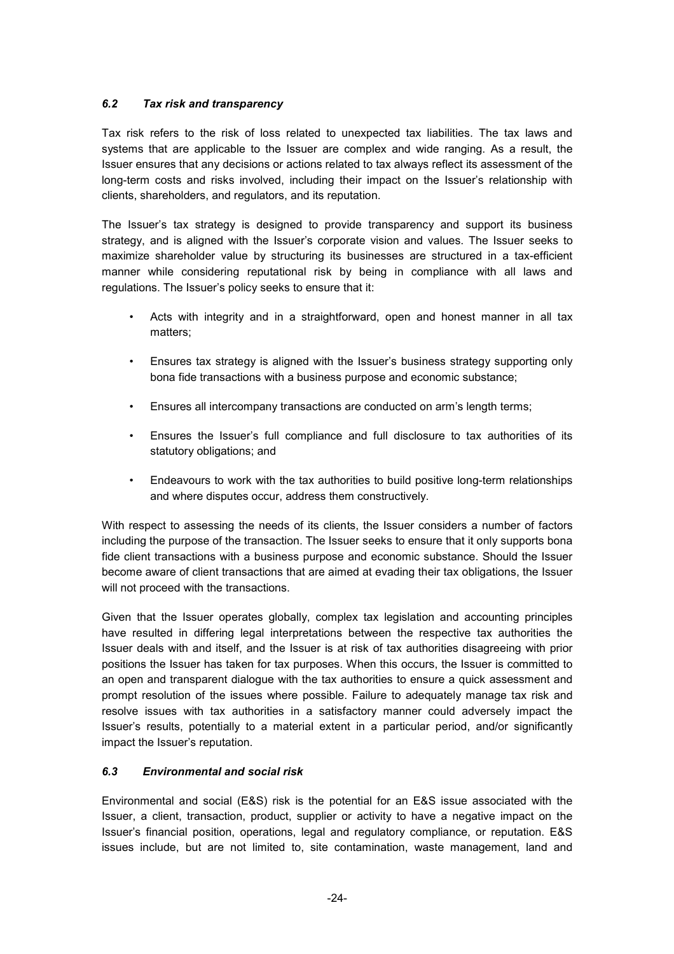## *6.2 Tax risk and transparency*

Tax risk refers to the risk of loss related to unexpected tax liabilities. The tax laws and systems that are applicable to the Issuer are complex and wide ranging. As a result, the Issuer ensures that any decisions or actions related to tax always reflect its assessment of the long-term costs and risks involved, including their impact on the Issuer's relationship with clients, shareholders, and regulators, and its reputation.

The Issuer's tax strategy is designed to provide transparency and support its business strategy, and is aligned with the Issuer's corporate vision and values. The Issuer seeks to maximize shareholder value by structuring its businesses are structured in a tax-efficient manner while considering reputational risk by being in compliance with all laws and regulations. The Issuer's policy seeks to ensure that it:

- Acts with integrity and in a straightforward, open and honest manner in all tax matters;
- Ensures tax strategy is aligned with the Issuer's business strategy supporting only bona fide transactions with a business purpose and economic substance;
- Ensures all intercompany transactions are conducted on arm's length terms;
- Ensures the Issuer's full compliance and full disclosure to tax authorities of its statutory obligations; and
- Endeavours to work with the tax authorities to build positive long-term relationships and where disputes occur, address them constructively.

With respect to assessing the needs of its clients, the Issuer considers a number of factors including the purpose of the transaction. The Issuer seeks to ensure that it only supports bona fide client transactions with a business purpose and economic substance. Should the Issuer become aware of client transactions that are aimed at evading their tax obligations, the Issuer will not proceed with the transactions.

Given that the Issuer operates globally, complex tax legislation and accounting principles have resulted in differing legal interpretations between the respective tax authorities the Issuer deals with and itself, and the Issuer is at risk of tax authorities disagreeing with prior positions the Issuer has taken for tax purposes. When this occurs, the Issuer is committed to an open and transparent dialogue with the tax authorities to ensure a quick assessment and prompt resolution of the issues where possible. Failure to adequately manage tax risk and resolve issues with tax authorities in a satisfactory manner could adversely impact the Issuer's results, potentially to a material extent in a particular period, and/or significantly impact the Issuer's reputation.

## *6.3 Environmental and social risk*

Environmental and social (E&S) risk is the potential for an E&S issue associated with the Issuer, a client, transaction, product, supplier or activity to have a negative impact on the Issuer's financial position, operations, legal and regulatory compliance, or reputation. E&S issues include, but are not limited to, site contamination, waste management, land and